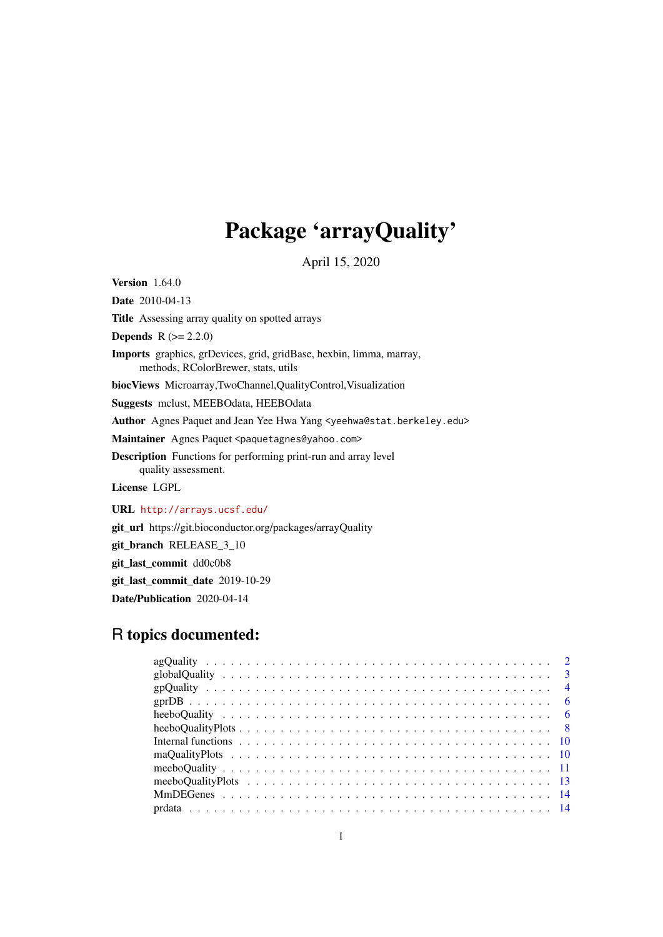# Package 'arrayQuality'

April 15, 2020

**Version** 1.64.0

Date 2010-04-13

Title Assessing array quality on spotted arrays

**Depends**  $R (= 2.2.0)$ 

Imports graphics, grDevices, grid, gridBase, hexbin, limma, marray, methods, RColorBrewer, stats, utils

biocViews Microarray,TwoChannel,QualityControl,Visualization

Suggests mclust, MEEBOdata, HEEBOdata

Author Agnes Paquet and Jean Yee Hwa Yang <yeehwa@stat.berkeley.edu>

Maintainer Agnes Paquet <paquetagnes@yahoo.com>

Description Functions for performing print-run and array level quality assessment.

License LGPL

URL <http://arrays.ucsf.edu/>

git\_url https://git.bioconductor.org/packages/arrayQuality

git\_branch RELEASE\_3\_10

git\_last\_commit dd0c0b8

git\_last\_commit\_date 2019-10-29

Date/Publication 2020-04-14

### R topics documented:

| Internal functions $\ldots$ , $\ldots$ , $\ldots$ , $\ldots$ , $\ldots$ , $\ldots$ , $\ldots$ , $\ldots$ , $\ldots$ , $\ldots$ , $\ldots$ , $\ldots$ |  |  |  |  |  |
|------------------------------------------------------------------------------------------------------------------------------------------------------|--|--|--|--|--|
|                                                                                                                                                      |  |  |  |  |  |
|                                                                                                                                                      |  |  |  |  |  |
|                                                                                                                                                      |  |  |  |  |  |
|                                                                                                                                                      |  |  |  |  |  |
|                                                                                                                                                      |  |  |  |  |  |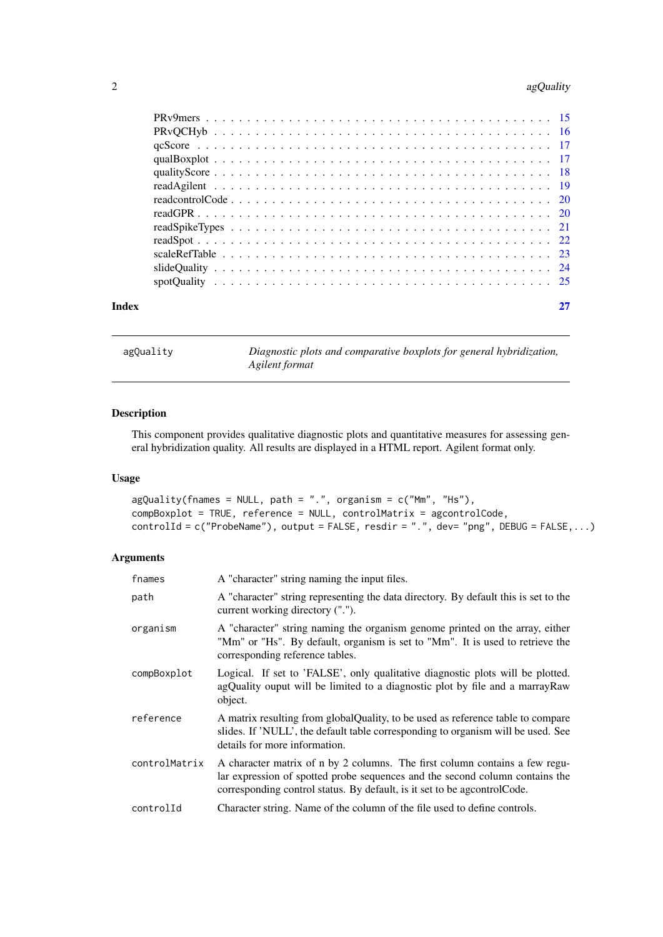### <span id="page-1-0"></span>2 ag $\Omega$  and  $\Omega$  against  $\Omega$  and  $\Omega$  against  $\Omega$  against  $\Omega$  against  $\Omega$  against  $\Omega$

<span id="page-1-1"></span>agQuality *Diagnostic plots and comparative boxplots for general hybridization, Agilent format*

### Description

This component provides qualitative diagnostic plots and quantitative measures for assessing general hybridization quality. All results are displayed in a HTML report. Agilent format only.

### Usage

```
agQuality(fnames = NULL, path = ".", organism = c("Mm", "Hs"),compBoxplot = TRUE, reference = NULL, controlMatrix = agcontrolCode,
controlId = c("ProbeName"), output = FALSE, resdir = ".", dev= "png", DEBUG = FALSE,...)
```

| fnames        | A "character" string naming the input files.                                                                                                                                                                                             |
|---------------|------------------------------------------------------------------------------------------------------------------------------------------------------------------------------------------------------------------------------------------|
| path          | A "character" string representing the data directory. By default this is set to the<br>current working directory (".").                                                                                                                  |
| organism      | A "character" string naming the organism genome printed on the array, either<br>"Mm" or "Hs". By default, organism is set to "Mm". It is used to retrieve the<br>corresponding reference tables.                                         |
| compBoxplot   | Logical. If set to 'FALSE', only qualitative diagnostic plots will be plotted.<br>agQuality ouput will be limited to a diagnostic plot by file and a marrayRaw<br>object.                                                                |
| reference     | A matrix resulting from globalQuality, to be used as reference table to compare<br>slides. If 'NULL', the default table corresponding to organism will be used. See<br>details for more information.                                     |
| controlMatrix | A character matrix of n by 2 columns. The first column contains a few regu-<br>lar expression of spotted probe sequences and the second column contains the<br>corresponding control status. By default, is it set to be agcontrol Code. |
| controlId     | Character string. Name of the column of the file used to define controls.                                                                                                                                                                |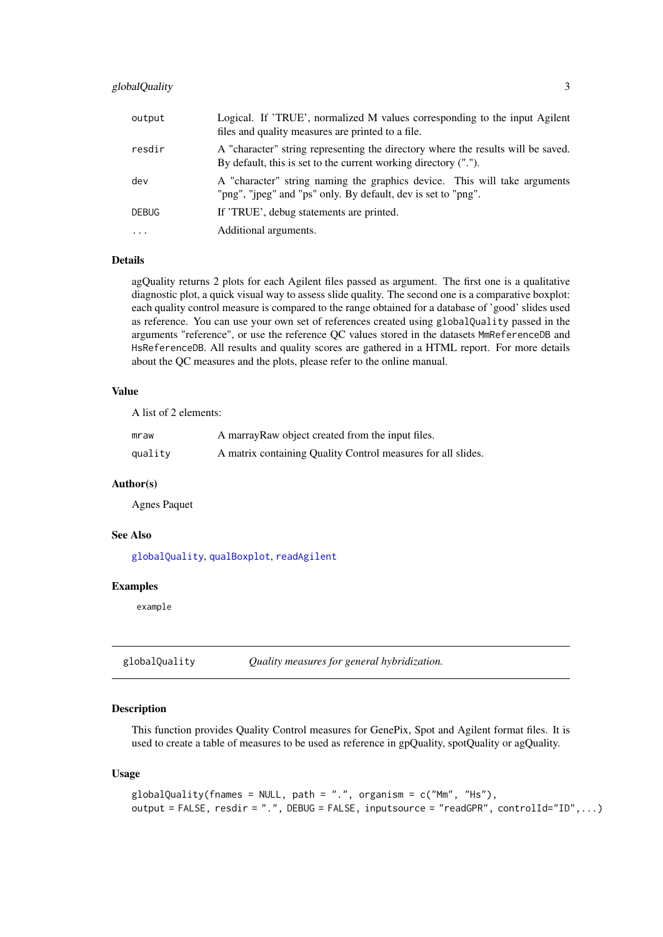### <span id="page-2-0"></span>globalQuality 3

| output       | Logical. If 'TRUE', normalized M values corresponding to the input Agilent<br>files and quality measures are printed to a file.                     |
|--------------|-----------------------------------------------------------------------------------------------------------------------------------------------------|
| resdir       | A "character" string representing the directory where the results will be saved.<br>By default, this is set to the current working directory ("."). |
| dev          | A "character" string naming the graphics device. This will take arguments<br>"png", "jpeg" and "ps" only. By default, dev is set to "png".          |
| <b>DEBUG</b> | If 'TRUE', debug statements are printed.                                                                                                            |
| $\ddotsc$    | Additional arguments.                                                                                                                               |

### Details

agQuality returns 2 plots for each Agilent files passed as argument. The first one is a qualitative diagnostic plot, a quick visual way to assess slide quality. The second one is a comparative boxplot: each quality control measure is compared to the range obtained for a database of 'good' slides used as reference. You can use your own set of references created using globalQuality passed in the arguments "reference", or use the reference QC values stored in the datasets MmReferenceDB and HsReferenceDB. All results and quality scores are gathered in a HTML report. For more details about the QC measures and the plots, please refer to the online manual.

### Value

A list of 2 elements:

| mraw    | A marray Raw object created from the input files.            |
|---------|--------------------------------------------------------------|
| quality | A matrix containing Quality Control measures for all slides. |

### Author(s)

Agnes Paquet

### See Also

[globalQuality](#page-2-1), [qualBoxplot](#page-16-1), [readAgilent](#page-18-1)

#### Examples

example

<span id="page-2-1"></span>globalQuality *Quality measures for general hybridization.*

#### Description

This function provides Quality Control measures for GenePix, Spot and Agilent format files. It is used to create a table of measures to be used as reference in gpQuality, spotQuality or agQuality.

### Usage

```
globalQuality(fnames = NULL, path = ".", organism = c("Mm", "Hs"),
output = FALSE, result = ".", DEBUG = FALSE, inputsource = "readGPR", controlId="ID", ...
```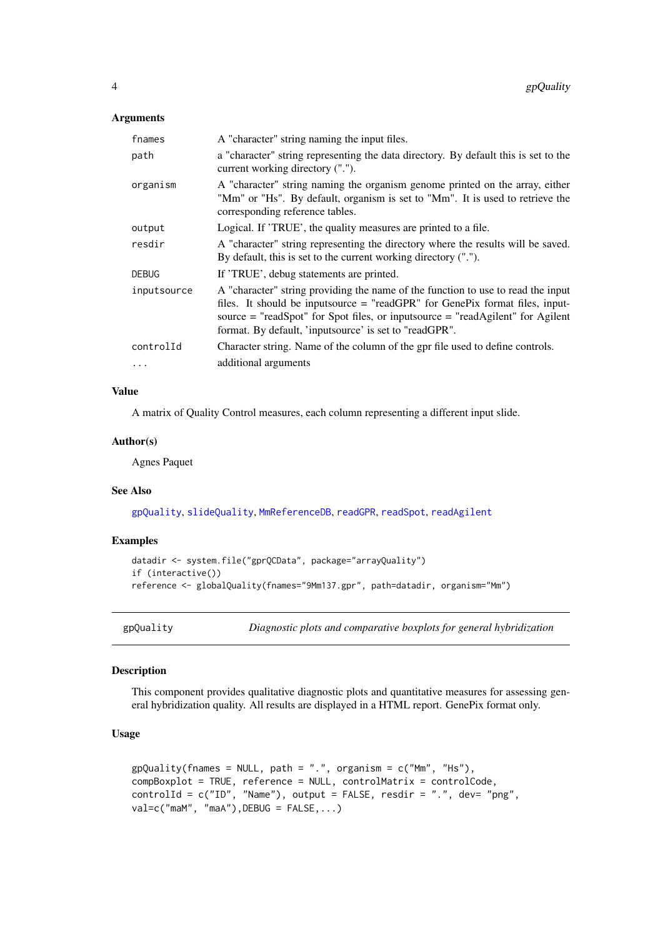#### <span id="page-3-0"></span>Arguments

| fnames       | A "character" string naming the input files.                                                                                                                                                                                                                                                                     |
|--------------|------------------------------------------------------------------------------------------------------------------------------------------------------------------------------------------------------------------------------------------------------------------------------------------------------------------|
| path         | a "character" string representing the data directory. By default this is set to the<br>current working directory (".").                                                                                                                                                                                          |
| organism     | A "character" string naming the organism genome printed on the array, either<br>"Mm" or "Hs". By default, organism is set to "Mm". It is used to retrieve the<br>corresponding reference tables.                                                                                                                 |
| output       | Logical. If 'TRUE', the quality measures are printed to a file.                                                                                                                                                                                                                                                  |
| resdir       | A "character" string representing the directory where the results will be saved.<br>By default, this is set to the current working directory (".").                                                                                                                                                              |
| <b>DEBUG</b> | If 'TRUE', debug statements are printed.                                                                                                                                                                                                                                                                         |
| inputsource  | A "character" string providing the name of the function to use to read the input<br>files. It should be inputsource = "readGPR" for GenePix format files, input-<br>source $=$ "readSpot" for Spot files, or inputsource $=$ "readAgilent" for Agilent<br>format. By default, 'inputsource' is set to "readGPR". |
| controlId    | Character string. Name of the column of the gpr file used to define controls.                                                                                                                                                                                                                                    |
| $\ddots$     | additional arguments                                                                                                                                                                                                                                                                                             |
|              |                                                                                                                                                                                                                                                                                                                  |

### Value

A matrix of Quality Control measures, each column representing a different input slide.

#### Author(s)

Agnes Paquet

#### See Also

[gpQuality](#page-3-1), [slideQuality](#page-23-1), [MmReferenceDB](#page-5-1), [readGPR](#page-19-1), [readSpot](#page-21-1), [readAgilent](#page-18-1)

### Examples

```
datadir <- system.file("gprQCData", package="arrayQuality")
if (interactive())
reference <- globalQuality(fnames="9Mm137.gpr", path=datadir, organism="Mm")
```
<span id="page-3-1"></span>gpQuality *Diagnostic plots and comparative boxplots for general hybridization*

### Description

This component provides qualitative diagnostic plots and quantitative measures for assessing general hybridization quality. All results are displayed in a HTML report. GenePix format only.

#### Usage

```
gpQuality(fnames = NULL, path = ".", organism = c("Mm", "Hs"),
compBoxplot = TRUE, reference = NULL, controlMatrix = controlCode,
controlId = c("ID", "Name"), output = FALSE, resdir = ".", dev= "png",
val=c("maM", "maA"), DEBUG = FALSE,...)
```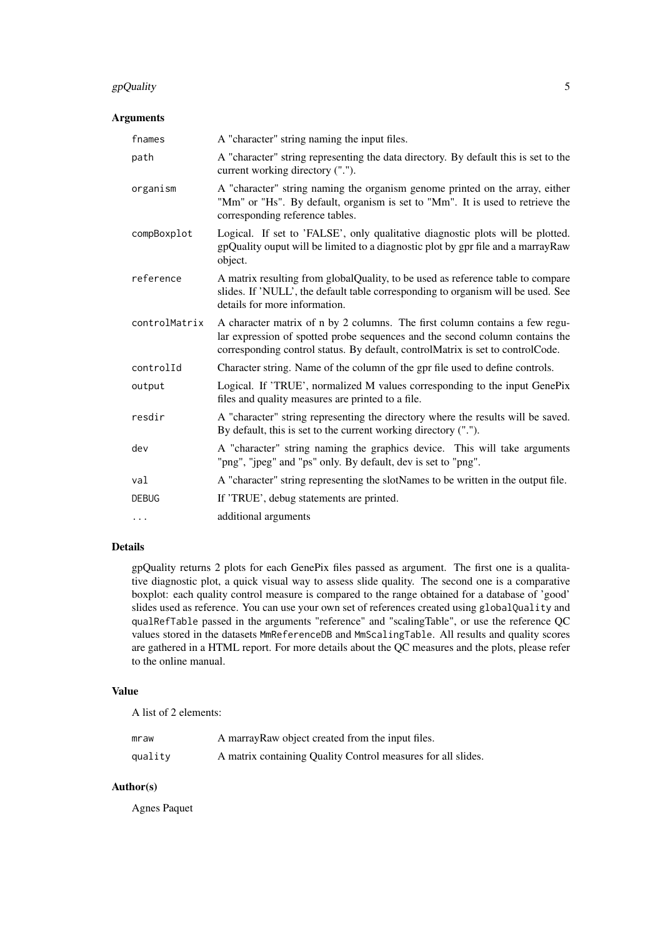### gpQuality 5

### Arguments

| fnames        | A "character" string naming the input files.                                                                                                                                                                                                  |
|---------------|-----------------------------------------------------------------------------------------------------------------------------------------------------------------------------------------------------------------------------------------------|
| path          | A "character" string representing the data directory. By default this is set to the<br>current working directory (".").                                                                                                                       |
| organism      | A "character" string naming the organism genome printed on the array, either<br>"Mm" or "Hs". By default, organism is set to "Mm". It is used to retrieve the<br>corresponding reference tables.                                              |
| compBoxplot   | Logical. If set to 'FALSE', only qualitative diagnostic plots will be plotted.<br>gpQuality ouput will be limited to a diagnostic plot by gpr file and a marrayRaw<br>object.                                                                 |
| reference     | A matrix resulting from globalQuality, to be used as reference table to compare<br>slides. If 'NULL', the default table corresponding to organism will be used. See<br>details for more information.                                          |
| controlMatrix | A character matrix of n by 2 columns. The first column contains a few regu-<br>lar expression of spotted probe sequences and the second column contains the<br>corresponding control status. By default, controlMatrix is set to controlCode. |
| controlId     | Character string. Name of the column of the gpr file used to define controls.                                                                                                                                                                 |
| output        | Logical. If 'TRUE', normalized M values corresponding to the input GenePix<br>files and quality measures are printed to a file.                                                                                                               |
| resdir        | A "character" string representing the directory where the results will be saved.<br>By default, this is set to the current working directory (".").                                                                                           |
| dev           | A "character" string naming the graphics device. This will take arguments<br>"png", "jpeg" and "ps" only. By default, dev is set to "png".                                                                                                    |
| val           | A "character" string representing the slotNames to be written in the output file.                                                                                                                                                             |
| <b>DEBUG</b>  | If 'TRUE', debug statements are printed.                                                                                                                                                                                                      |
| .             | additional arguments                                                                                                                                                                                                                          |

### Details

gpQuality returns 2 plots for each GenePix files passed as argument. The first one is a qualitative diagnostic plot, a quick visual way to assess slide quality. The second one is a comparative boxplot: each quality control measure is compared to the range obtained for a database of 'good' slides used as reference. You can use your own set of references created using globalQuality and qualRefTable passed in the arguments "reference" and "scalingTable", or use the reference QC values stored in the datasets MmReferenceDB and MmScalingTable. All results and quality scores are gathered in a HTML report. For more details about the QC measures and the plots, please refer to the online manual.

### Value

A list of 2 elements:

| mraw    | A marray Raw object created from the input files.            |
|---------|--------------------------------------------------------------|
| quality | A matrix containing Quality Control measures for all slides. |

### Author(s)

Agnes Paquet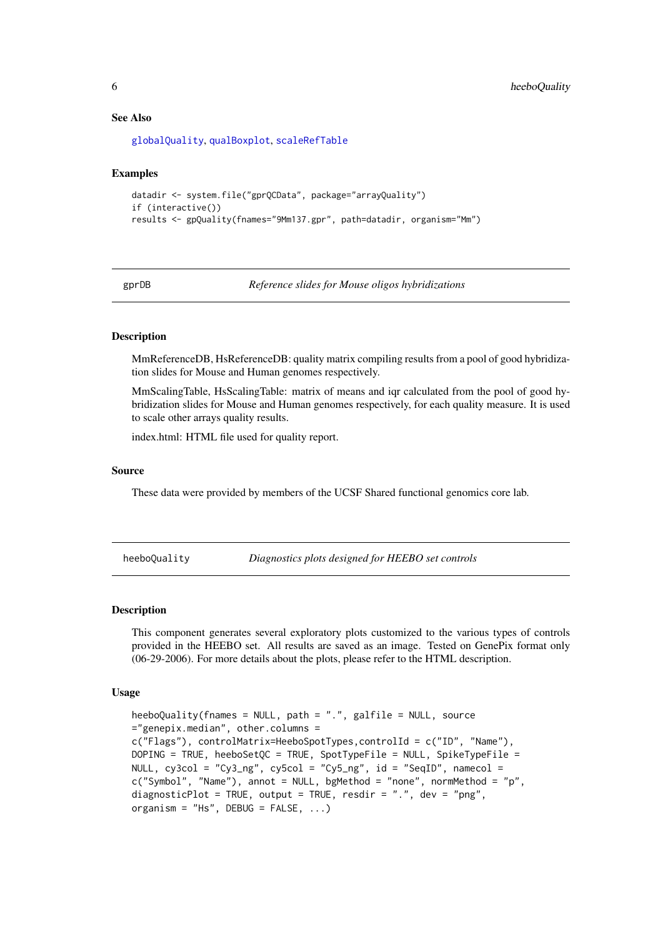#### See Also

[globalQuality](#page-2-1), [qualBoxplot](#page-16-1), [scaleRefTable](#page-22-1)

#### Examples

```
datadir <- system.file("gprQCData", package="arrayQuality")
if (interactive())
results <- gpQuality(fnames="9Mm137.gpr", path=datadir, organism="Mm")
```
gprDB *Reference slides for Mouse oligos hybridizations*

### <span id="page-5-1"></span>Description

MmReferenceDB, HsReferenceDB: quality matrix compiling results from a pool of good hybridization slides for Mouse and Human genomes respectively.

MmScalingTable, HsScalingTable: matrix of means and iqr calculated from the pool of good hybridization slides for Mouse and Human genomes respectively, for each quality measure. It is used to scale other arrays quality results.

index.html: HTML file used for quality report.

#### Source

These data were provided by members of the UCSF Shared functional genomics core lab.

<span id="page-5-2"></span>heeboQuality *Diagnostics plots designed for HEEBO set controls*

#### Description

This component generates several exploratory plots customized to the various types of controls provided in the HEEBO set. All results are saved as an image. Tested on GenePix format only (06-29-2006). For more details about the plots, please refer to the HTML description.

#### Usage

```
heeboQuality(fnames = NULL, path = ".", galfile = NULL, source
="genepix.median", other.columns =
c("Flags"), controlMatrix=HeeboSpotTypes,controlId = c("ID", "Name"),
DOPING = TRUE, heeboSetQC = TRUE, SpotTypeFile = NULL, SpikeTypeFile =
NULL, cy3col = "Cy3_ng", cy5col = "Cy5_ng", id = "SeqID", namecol =c("Symbol", "Name"), annot = NULL, bgMethod = "none", normMethod = "p",
diagnosticPlot = TRUE, output = TRUE, resdir = ".", dev = "png",
organism = "Hs", DEBUG = FALSE, ...)
```
<span id="page-5-0"></span>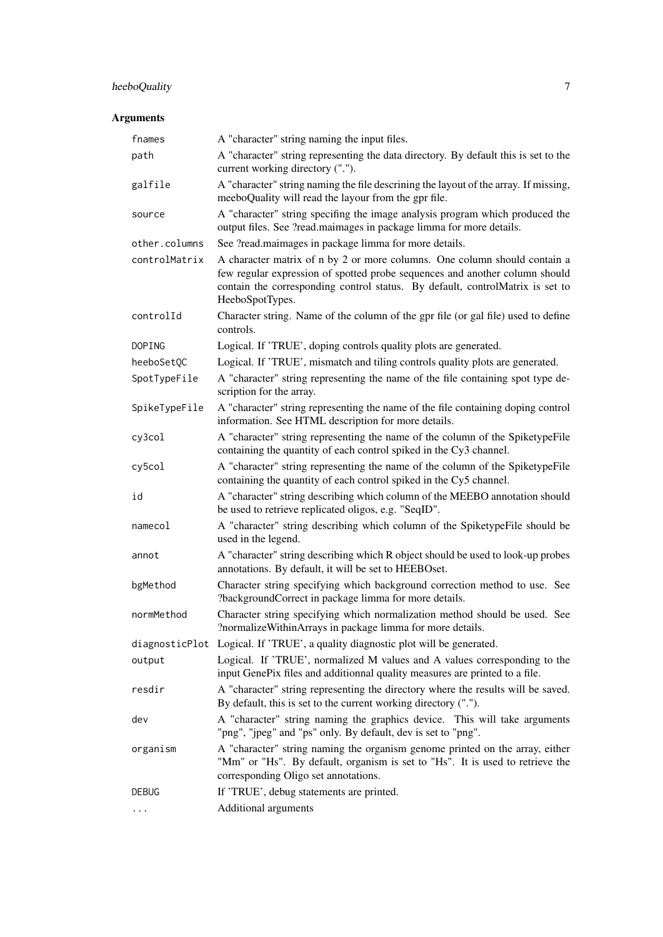### heeboQuality 7

| fnames        | A "character" string naming the input files.                                                                                                                                                                                                                 |
|---------------|--------------------------------------------------------------------------------------------------------------------------------------------------------------------------------------------------------------------------------------------------------------|
| path          | A "character" string representing the data directory. By default this is set to the<br>current working directory (".").                                                                                                                                      |
| galfile       | A "character" string naming the file descrining the layout of the array. If missing,<br>meeboQuality will read the layour from the gpr file.                                                                                                                 |
| source        | A "character" string specifing the image analysis program which produced the<br>output files. See ?read.maimages in package limma for more details.                                                                                                          |
| other.columns | See ?read.maimages in package limma for more details.                                                                                                                                                                                                        |
| controlMatrix | A character matrix of n by 2 or more columns. One column should contain a<br>few regular expression of spotted probe sequences and another column should<br>contain the corresponding control status. By default, controlMatrix is set to<br>HeeboSpotTypes. |
| controlId     | Character string. Name of the column of the gpr file (or gal file) used to define<br>controls.                                                                                                                                                               |
| DOPING        | Logical. If 'TRUE', doping controls quality plots are generated.                                                                                                                                                                                             |
| heeboSetQC    | Logical. If 'TRUE', mismatch and tiling controls quality plots are generated.                                                                                                                                                                                |
| SpotTypeFile  | A "character" string representing the name of the file containing spot type de-<br>scription for the array.                                                                                                                                                  |
| SpikeTypeFile | A "character" string representing the name of the file containing doping control<br>information. See HTML description for more details.                                                                                                                      |
| cy3col        | A "character" string representing the name of the column of the SpiketypeFile<br>containing the quantity of each control spiked in the Cy3 channel.                                                                                                          |
| cy5col        | A "character" string representing the name of the column of the SpiketypeFile<br>containing the quantity of each control spiked in the Cy5 channel.                                                                                                          |
| id            | A "character" string describing which column of the MEEBO annotation should<br>be used to retrieve replicated oligos, e.g. "SeqID".                                                                                                                          |
| namecol       | A "character" string describing which column of the SpiketypeFile should be<br>used in the legend.                                                                                                                                                           |
| annot         | A "character" string describing which R object should be used to look-up probes<br>annotations. By default, it will be set to HEEBOset.                                                                                                                      |
| bgMethod      | Character string specifying which background correction method to use. See<br>?backgroundCorrect in package limma for more details.                                                                                                                          |
| normMethod    | Character string specifying which normalization method should be used. See<br>?normalizeWithinArrays in package limma for more details.                                                                                                                      |
|               | diagnosticPlot Logical. If 'TRUE', a quality diagnostic plot will be generated.                                                                                                                                                                              |
| output        | Logical. If 'TRUE', normalized M values and A values corresponding to the<br>input GenePix files and additionnal quality measures are printed to a file.                                                                                                     |
| resdir        | A "character" string representing the directory where the results will be saved.<br>By default, this is set to the current working directory (".").                                                                                                          |
| dev           | A "character" string naming the graphics device. This will take arguments<br>"png", "jpeg" and "ps" only. By default, dev is set to "png".                                                                                                                   |
| organism      | A "character" string naming the organism genome printed on the array, either<br>"Mm" or "Hs". By default, organism is set to "Hs". It is used to retrieve the<br>corresponding Oligo set annotations.                                                        |
| <b>DEBUG</b>  | If 'TRUE', debug statements are printed.                                                                                                                                                                                                                     |
| .             | Additional arguments                                                                                                                                                                                                                                         |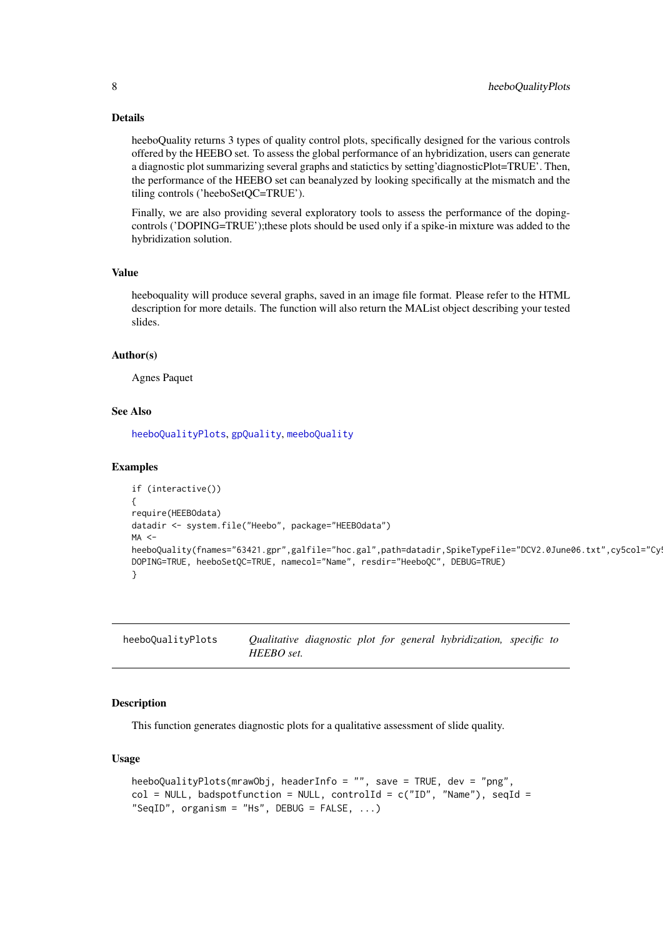### Details

heeboQuality returns 3 types of quality control plots, specifically designed for the various controls offered by the HEEBO set. To assess the global performance of an hybridization, users can generate a diagnostic plot summarizing several graphs and statictics by setting'diagnosticPlot=TRUE'. Then, the performance of the HEEBO set can beanalyzed by looking specifically at the mismatch and the tiling controls ('heeboSetQC=TRUE').

Finally, we are also providing several exploratory tools to assess the performance of the dopingcontrols ('DOPING=TRUE');these plots should be used only if a spike-in mixture was added to the hybridization solution.

### Value

heeboquality will produce several graphs, saved in an image file format. Please refer to the HTML description for more details. The function will also return the MAList object describing your tested slides.

#### Author(s)

Agnes Paquet

### See Also

[heeboQualityPlots](#page-7-1), [gpQuality](#page-3-1), [meeboQuality](#page-10-1)

#### Examples

```
if (interactive())
{
require(HEEBOdata)
datadir <- system.file("Heebo", package="HEEBOdata")
MA <heeboQuality(fnames="63421.gpr",galfile="hoc.gal",path=datadir,SpikeTypeFile="DCV2.0June06.txt",cy5col="Cy
DOPING=TRUE, heeboSetQC=TRUE, namecol="Name", resdir="HeeboQC", DEBUG=TRUE)
}
```
<span id="page-7-1"></span>heeboQualityPlots *Qualitative diagnostic plot for general hybridization, specific to HEEBO set.*

### Description

This function generates diagnostic plots for a qualitative assessment of slide quality.

### Usage

```
heeboQualityPlots(mrawObj, headerInfo = "", save = TRUE, dev = "png",
col = NULL, badspotfunction = NULL, controlId = c("ID", "Name"), seqId ="SeqID", organism = "Hs", DEBUG = FALSE, ...)
```
<span id="page-7-0"></span>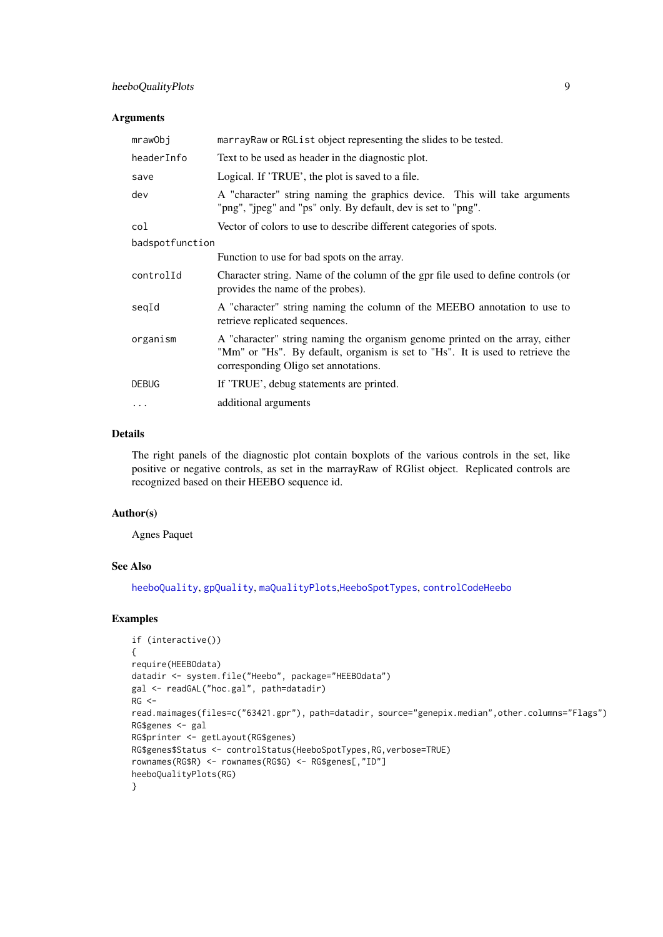### <span id="page-8-0"></span>Arguments

| mrawObj         | marrayRaw or RGList object representing the slides to be tested.                                                                                                                                      |
|-----------------|-------------------------------------------------------------------------------------------------------------------------------------------------------------------------------------------------------|
| headerInfo      | Text to be used as header in the diagnostic plot.                                                                                                                                                     |
| save            | Logical. If 'TRUE', the plot is saved to a file.                                                                                                                                                      |
| dev             | A "character" string naming the graphics device. This will take arguments<br>"png", "jpeg" and "ps" only. By default, dev is set to "png".                                                            |
| col             | Vector of colors to use to describe different categories of spots.                                                                                                                                    |
| badspotfunction |                                                                                                                                                                                                       |
|                 | Function to use for bad spots on the array.                                                                                                                                                           |
| controlId       | Character string. Name of the column of the gpr file used to define controls (or<br>provides the name of the probes).                                                                                 |
| seqId           | A "character" string naming the column of the MEEBO annotation to use to<br>retrieve replicated sequences.                                                                                            |
| organism        | A "character" string naming the organism genome printed on the array, either<br>"Mm" or "Hs". By default, organism is set to "Hs". It is used to retrieve the<br>corresponding Oligo set annotations. |
| <b>DEBUG</b>    | If 'TRUE', debug statements are printed.                                                                                                                                                              |
| $\ddotsc$       | additional arguments                                                                                                                                                                                  |

### Details

The right panels of the diagnostic plot contain boxplots of the various controls in the set, like positive or negative controls, as set in the marrayRaw of RGlist object. Replicated controls are recognized based on their HEEBO sequence id.

### Author(s)

Agnes Paquet

### See Also

[heeboQuality](#page-5-2), [gpQuality](#page-3-1), [maQualityPlots](#page-9-1),[HeeboSpotTypes](#page-9-2), [controlCodeHeebo](#page-9-2)

#### Examples

```
if (interactive())
{
require(HEEBOdata)
datadir <- system.file("Heebo", package="HEEBOdata")
gal <- readGAL("hoc.gal", path=datadir)
RG <-read.maimages(files=c("63421.gpr"), path=datadir, source="genepix.median",other.columns="Flags")
RG$genes <- gal
RG$printer <- getLayout(RG$genes)
RG$genes$Status <- controlStatus(HeeboSpotTypes,RG,verbose=TRUE)
rownames(RG$R) <- rownames(RG$G) <- RG$genes[,"ID"]
heeboQualityPlots(RG)
}
```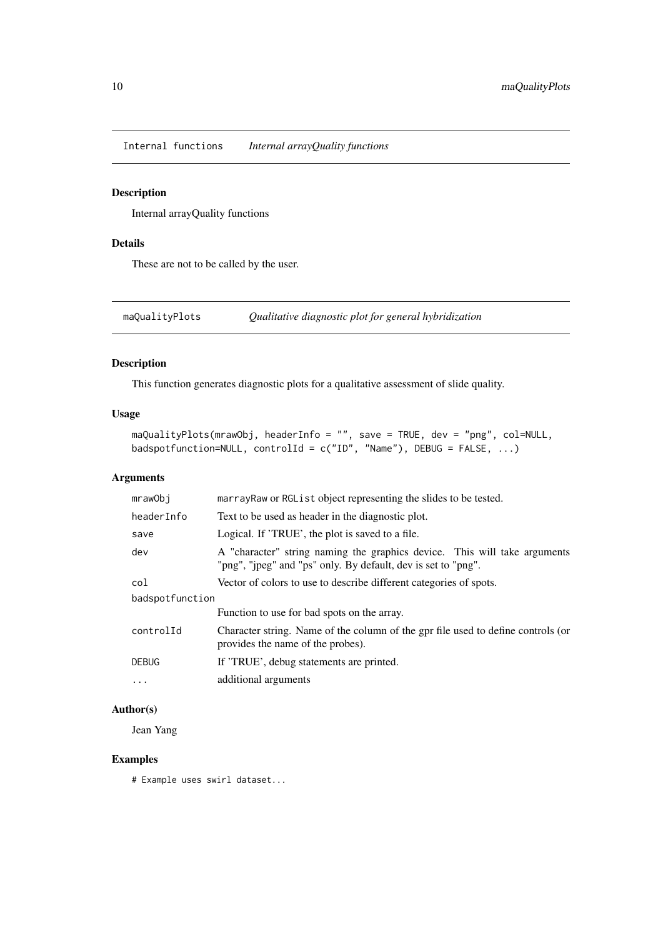<span id="page-9-0"></span>Internal functions *Internal arrayQuality functions*

### <span id="page-9-2"></span>Description

Internal arrayQuality functions

### Details

These are not to be called by the user.

<span id="page-9-1"></span>maQualityPlots *Qualitative diagnostic plot for general hybridization*

### Description

This function generates diagnostic plots for a qualitative assessment of slide quality.

### Usage

```
maQualityPlots(mrawObj, headerInfo = "", save = TRUE, dev = "png", col=NULL,
badspotfunction=NULL, controlId = c("ID", "Name"), DEBUS = FALSE, ...)
```
### Arguments

| marrayRaw or RGList object representing the slides to be tested.                                                                           |
|--------------------------------------------------------------------------------------------------------------------------------------------|
| Text to be used as header in the diagnostic plot.                                                                                          |
| Logical. If 'TRUE', the plot is saved to a file.                                                                                           |
| A "character" string naming the graphics device. This will take arguments<br>"png", "jpeg" and "ps" only. By default, dev is set to "png". |
| Vector of colors to use to describe different categories of spots.                                                                         |
| badspotfunction                                                                                                                            |
| Function to use for bad spots on the array.                                                                                                |
| Character string. Name of the column of the gpr file used to define controls (or<br>provides the name of the probes).                      |
| If 'TRUE', debug statements are printed.                                                                                                   |
| additional arguments                                                                                                                       |
|                                                                                                                                            |

### Author(s)

Jean Yang

### Examples

# Example uses swirl dataset...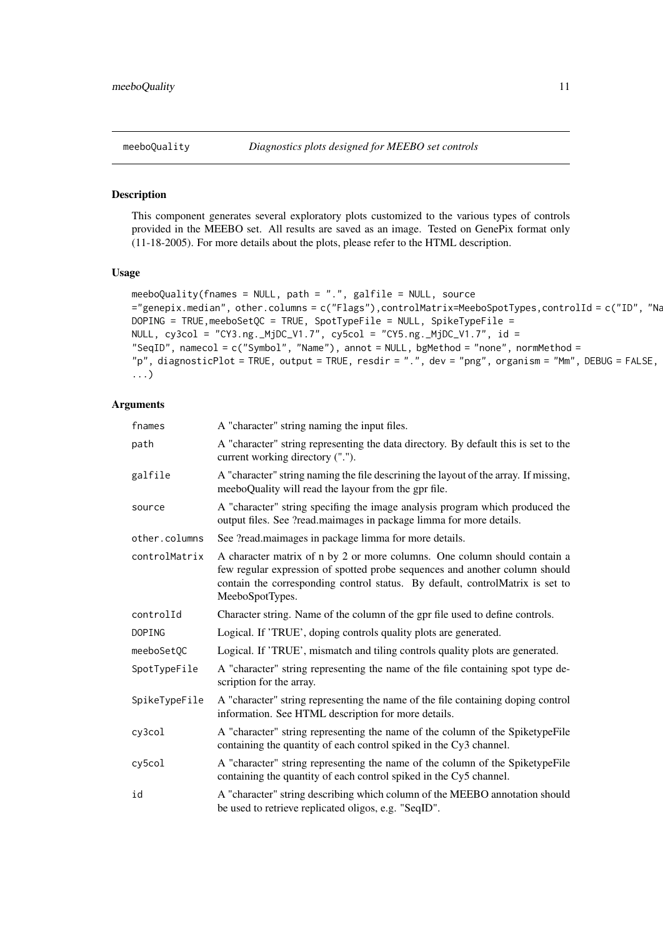<span id="page-10-1"></span><span id="page-10-0"></span>

This component generates several exploratory plots customized to the various types of controls provided in the MEEBO set. All results are saved as an image. Tested on GenePix format only (11-18-2005). For more details about the plots, please refer to the HTML description.

### Usage

```
meeboQuality(fnames = NULL, path = ".", galfile = NULL, source
="genepix.median", other.columns = c("Flags"),controlMatrix=MeeboSpotTypes,controlId = c("ID", "Name"),
DOPING = TRUE,meeboSetQC = TRUE, SpotTypeFile = NULL, SpikeTypeFile =
NULL, cy3col = "CY3.ng._MjDC_V1.7", cy5col = "CY5.ng._MjDC_V1.7", id =
"SeqID", namecol = c("Symbol", "Name"), annot = NULL, bgMethod = "none", normMethod =
"p", diagnosticPlot = TRUE, output = TRUE, resdir = ".", dev = "png", organism = "Mm", DEBUG = FALSE,
...)
```

| fnames        | A "character" string naming the input files.                                                                                                                                                                                                                 |
|---------------|--------------------------------------------------------------------------------------------------------------------------------------------------------------------------------------------------------------------------------------------------------------|
| path          | A "character" string representing the data directory. By default this is set to the<br>current working directory (".").                                                                                                                                      |
| galfile       | A "character" string naming the file descrining the layout of the array. If missing,<br>meeboQuality will read the layour from the gpr file.                                                                                                                 |
| source        | A "character" string specifing the image analysis program which produced the<br>output files. See ?read.maimages in package limma for more details.                                                                                                          |
| other.columns | See ?read.maimages in package limma for more details.                                                                                                                                                                                                        |
| controlMatrix | A character matrix of n by 2 or more columns. One column should contain a<br>few regular expression of spotted probe sequences and another column should<br>contain the corresponding control status. By default, controlMatrix is set to<br>MeeboSpotTypes. |
| controlId     | Character string. Name of the column of the gpr file used to define controls.                                                                                                                                                                                |
| <b>DOPING</b> | Logical. If 'TRUE', doping controls quality plots are generated.                                                                                                                                                                                             |
| meeboSetOC    | Logical. If 'TRUE', mismatch and tiling controls quality plots are generated.                                                                                                                                                                                |
| SpotTypeFile  | A "character" string representing the name of the file containing spot type de-<br>scription for the array.                                                                                                                                                  |
| SpikeTypeFile | A "character" string representing the name of the file containing doping control<br>information. See HTML description for more details.                                                                                                                      |
| cy3col        | A "character" string representing the name of the column of the SpiketypeFile<br>containing the quantity of each control spiked in the Cy3 channel.                                                                                                          |
| cy5col        | A "character" string representing the name of the column of the SpiketypeFile<br>containing the quantity of each control spiked in the Cy5 channel.                                                                                                          |
| id            | A "character" string describing which column of the MEEBO annotation should<br>be used to retrieve replicated oligos, e.g. "SeqID".                                                                                                                          |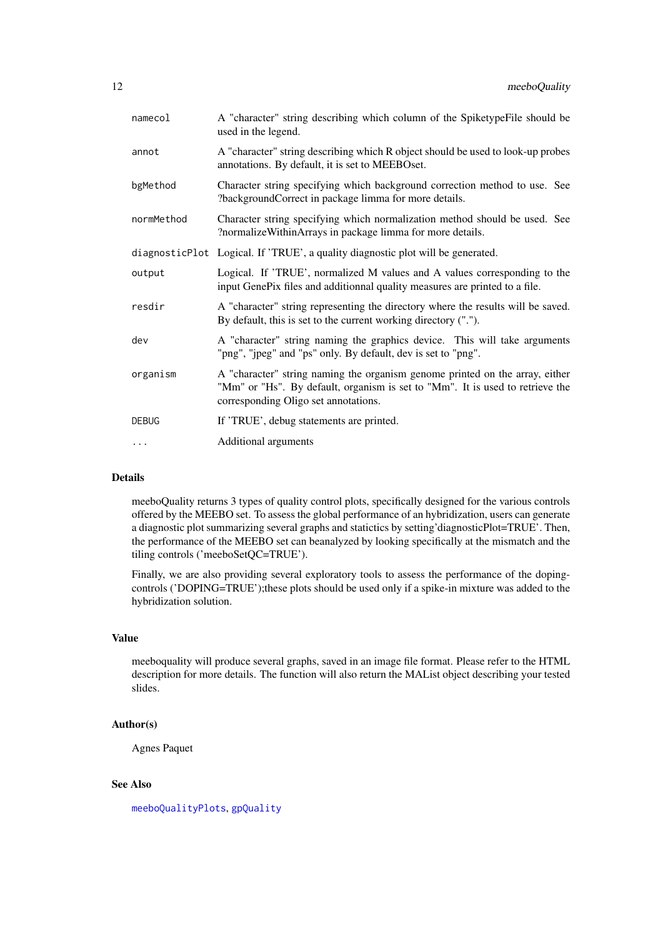<span id="page-11-0"></span>

| A "character" string describing which column of the SpiketypeFile should be<br>used in the legend.                                                                                                    |
|-------------------------------------------------------------------------------------------------------------------------------------------------------------------------------------------------------|
| A "character" string describing which R object should be used to look-up probes<br>annotations. By default, it is set to MEEBOset.                                                                    |
| Character string specifying which background correction method to use. See<br>?backgroundCorrect in package limma for more details.                                                                   |
| Character string specifying which normalization method should be used. See<br>?normalizeWithinArrays in package limma for more details.                                                               |
| diagnosticPlot Logical. If 'TRUE', a quality diagnostic plot will be generated.                                                                                                                       |
| Logical. If 'TRUE', normalized M values and A values corresponding to the<br>input GenePix files and additionnal quality measures are printed to a file.                                              |
| A "character" string representing the directory where the results will be saved.<br>By default, this is set to the current working directory (".").                                                   |
| A "character" string naming the graphics device. This will take arguments<br>"png", "jpeg" and "ps" only. By default, dev is set to "png".                                                            |
| A "character" string naming the organism genome printed on the array, either<br>"Mm" or "Hs". By default, organism is set to "Mm". It is used to retrieve the<br>corresponding Oligo set annotations. |
| If 'TRUE', debug statements are printed.                                                                                                                                                              |
| Additional arguments                                                                                                                                                                                  |
|                                                                                                                                                                                                       |

#### Details

meeboQuality returns 3 types of quality control plots, specifically designed for the various controls offered by the MEEBO set. To assess the global performance of an hybridization, users can generate a diagnostic plot summarizing several graphs and statictics by setting'diagnosticPlot=TRUE'. Then, the performance of the MEEBO set can beanalyzed by looking specifically at the mismatch and the tiling controls ('meeboSetQC=TRUE').

Finally, we are also providing several exploratory tools to assess the performance of the dopingcontrols ('DOPING=TRUE');these plots should be used only if a spike-in mixture was added to the hybridization solution.

### Value

meeboquality will produce several graphs, saved in an image file format. Please refer to the HTML description for more details. The function will also return the MAList object describing your tested slides.

### Author(s)

Agnes Paquet

### See Also

[meeboQualityPlots](#page-12-1), [gpQuality](#page-3-1)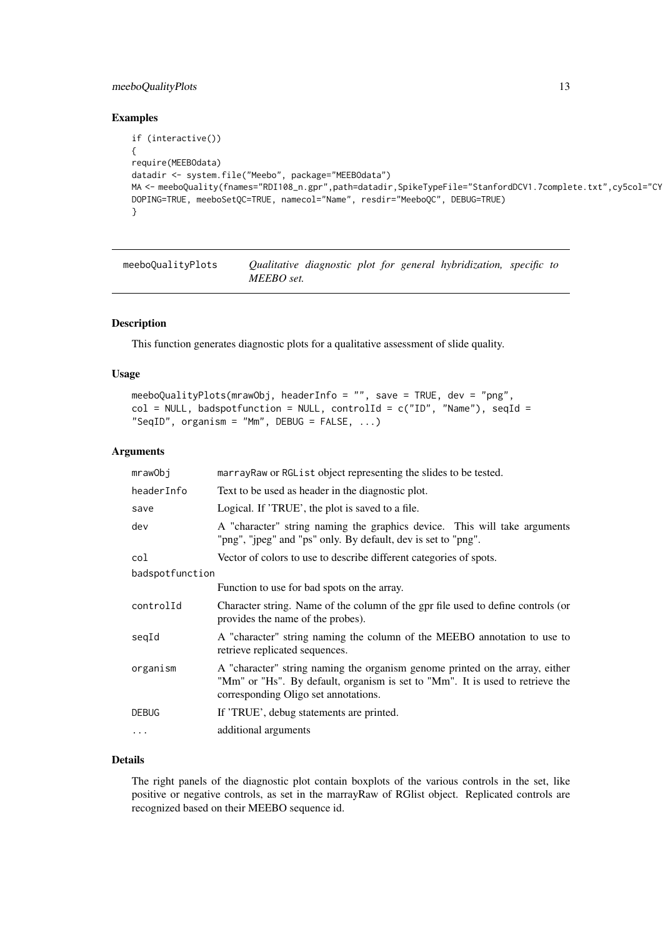#### <span id="page-12-0"></span>meeboQualityPlots 13

#### Examples

```
if (interactive())
{
require(MEEBOdata)
datadir <- system.file("Meebo", package="MEEBOdata")
MA <- meeboQuality(fnames="RDI108_n.gpr",path=datadir,SpikeTypeFile="StanfordDCV1.7complete.txt",cy5col="CY
DOPING=TRUE, meeboSetQC=TRUE, namecol="Name", resdir="MeeboQC", DEBUG=TRUE)
}
```
<span id="page-12-1"></span>meeboQualityPlots *Qualitative diagnostic plot for general hybridization, specific to MEEBO set.*

#### Description

This function generates diagnostic plots for a qualitative assessment of slide quality.

### Usage

```
meeboQualityPlots(mrawObj, headerInfo = "", save = TRUE, dev = "png",
col = NULL, badspotfunction = NULL, controlId = c("ID", "Name"), seqId =
"SeqID", organism = "Mm", DEBUG = FALSE, ...)
```
### Arguments

| mrawObj         | marray Raw or RGL is t object representing the slides to be tested.                                                                                                                                   |
|-----------------|-------------------------------------------------------------------------------------------------------------------------------------------------------------------------------------------------------|
| headerInfo      | Text to be used as header in the diagnostic plot.                                                                                                                                                     |
| save            | Logical. If 'TRUE', the plot is saved to a file.                                                                                                                                                      |
| dev             | A "character" string naming the graphics device. This will take arguments<br>"png", "jpeg" and "ps" only. By default, dev is set to "png".                                                            |
| col             | Vector of colors to use to describe different categories of spots.                                                                                                                                    |
| badspotfunction |                                                                                                                                                                                                       |
|                 | Function to use for bad spots on the array.                                                                                                                                                           |
| controlId       | Character string. Name of the column of the gpr file used to define controls (or<br>provides the name of the probes).                                                                                 |
| seqId           | A "character" string naming the column of the MEEBO annotation to use to<br>retrieve replicated sequences.                                                                                            |
| organism        | A "character" string naming the organism genome printed on the array, either<br>"Mm" or "Hs". By default, organism is set to "Mm". It is used to retrieve the<br>corresponding Oligo set annotations. |
| <b>DEBUG</b>    | If 'TRUE', debug statements are printed.                                                                                                                                                              |
| $\ddotsc$       | additional arguments                                                                                                                                                                                  |

### Details

The right panels of the diagnostic plot contain boxplots of the various controls in the set, like positive or negative controls, as set in the marrayRaw of RGlist object. Replicated controls are recognized based on their MEEBO sequence id.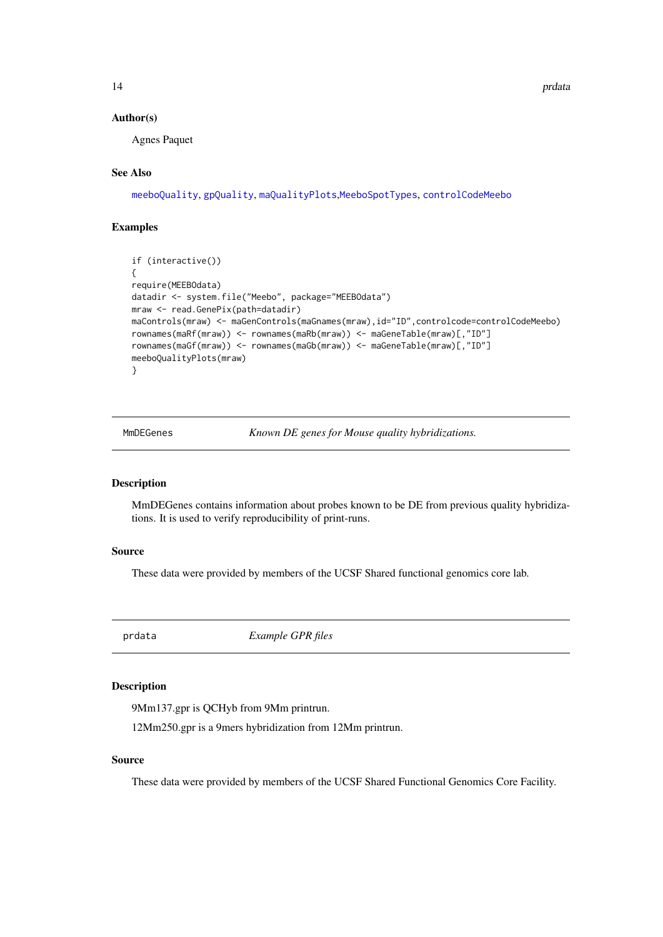<span id="page-13-0"></span>14 **produces** the product of the product of the product of the product of the product of the product of the product of the product of the product of the product of the product of the product of the product of the product o

#### Author(s)

Agnes Paquet

### See Also

[meeboQuality](#page-10-1), [gpQuality](#page-3-1), [maQualityPlots](#page-9-1),[MeeboSpotTypes](#page-9-2), [controlCodeMeebo](#page-9-2)

### Examples

```
if (interactive())
{
require(MEEBOdata)
datadir <- system.file("Meebo", package="MEEBOdata")
mraw <- read.GenePix(path=datadir)
maControls(mraw) <- maGenControls(maGnames(mraw),id="ID",controlcode=controlCodeMeebo)
rownames(maRf(mraw)) <- rownames(maRb(mraw)) <- maGeneTable(mraw)[,"ID"]
rownames(maGf(mraw)) <- rownames(maGb(mraw)) <- maGeneTable(mraw)[,"ID"]
meeboQualityPlots(mraw)
}
```
MmDEGenes *Known DE genes for Mouse quality hybridizations.*

### Description

MmDEGenes contains information about probes known to be DE from previous quality hybridizations. It is used to verify reproducibility of print-runs.

### Source

These data were provided by members of the UCSF Shared functional genomics core lab.

prdata *Example GPR files*

### Description

9Mm137.gpr is QCHyb from 9Mm printrun.

12Mm250.gpr is a 9mers hybridization from 12Mm printrun.

### Source

These data were provided by members of the UCSF Shared Functional Genomics Core Facility.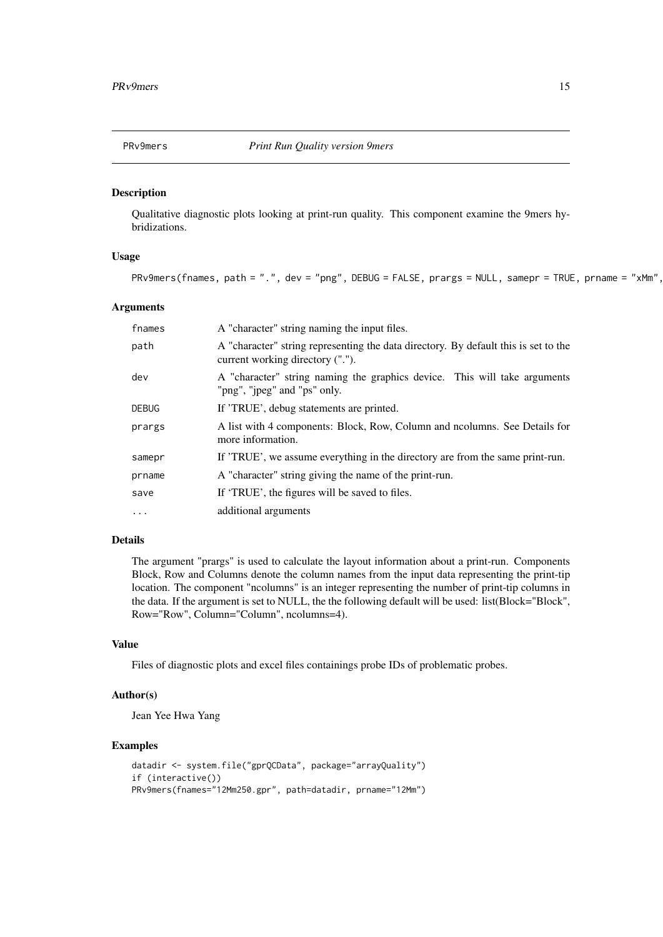<span id="page-14-0"></span>

Qualitative diagnostic plots looking at print-run quality. This component examine the 9mers hybridizations.

### Usage

```
PRv9mers(fnames, path = ".", dev = "png", DEBUG = FALSE, prargs = NULL, samepr = TRUE, prname = "xMm",
```
#### Arguments

| fnames       | A "character" string naming the input files.                                                                            |
|--------------|-------------------------------------------------------------------------------------------------------------------------|
| path         | A "character" string representing the data directory. By default this is set to the<br>current working directory ("."). |
| dev          | A "character" string naming the graphics device. This will take arguments<br>"png", "ipeg" and "ps" only.               |
| <b>DEBUG</b> | If 'TRUE', debug statements are printed.                                                                                |
| prargs       | A list with 4 components: Block, Row, Column and noolumns. See Details for<br>more information.                         |
| samepr       | If 'TRUE', we assume everything in the directory are from the same print-run.                                           |
| prname       | A "character" string giving the name of the print-run.                                                                  |
| save         | If 'TRUE', the figures will be saved to files.                                                                          |
| $\ddotsc$    | additional arguments                                                                                                    |

### Details

The argument "prargs" is used to calculate the layout information about a print-run. Components Block, Row and Columns denote the column names from the input data representing the print-tip location. The component "ncolumns" is an integer representing the number of print-tip columns in the data. If the argument is set to NULL, the the following default will be used: list(Block="Block", Row="Row", Column="Column", ncolumns=4).

### Value

Files of diagnostic plots and excel files containings probe IDs of problematic probes.

#### Author(s)

Jean Yee Hwa Yang

#### Examples

```
datadir <- system.file("gprQCData", package="arrayQuality")
if (interactive())
PRv9mers(fnames="12Mm250.gpr", path=datadir, prname="12Mm")
```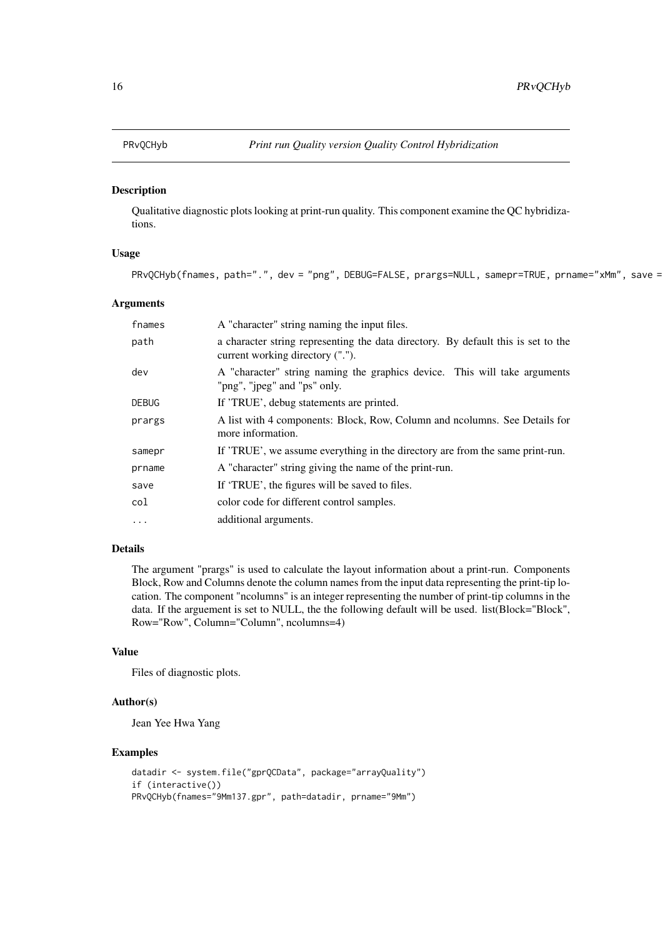<span id="page-15-0"></span>

Qualitative diagnostic plots looking at print-run quality. This component examine the QC hybridizations.

### Usage

PRvQCHyb(fnames, path=".", dev = "png", DEBUG=FALSE, prargs=NULL, samepr=TRUE, prname="xMm", save =

### Arguments

| fnames       | A "character" string naming the input files.                                                                          |
|--------------|-----------------------------------------------------------------------------------------------------------------------|
| path         | a character string representing the data directory. By default this is set to the<br>current working directory ("."). |
| dev          | A "character" string naming the graphics device. This will take arguments<br>"png", "jpeg" and "ps" only.             |
| <b>DEBUG</b> | If 'TRUE', debug statements are printed.                                                                              |
| prargs       | A list with 4 components: Block, Row, Column and noolumns. See Details for<br>more information.                       |
| samepr       | If 'TRUE', we assume everything in the directory are from the same print-run.                                         |
| prname       | A "character" string giving the name of the print-run.                                                                |
| save         | If 'TRUE', the figures will be saved to files.                                                                        |
| col          | color code for different control samples.                                                                             |
| $\cdots$     | additional arguments.                                                                                                 |

### Details

The argument "prargs" is used to calculate the layout information about a print-run. Components Block, Row and Columns denote the column names from the input data representing the print-tip location. The component "ncolumns" is an integer representing the number of print-tip columns in the data. If the arguement is set to NULL, the the following default will be used. list(Block="Block", Row="Row", Column="Column", ncolumns=4)

#### Value

Files of diagnostic plots.

### Author(s)

Jean Yee Hwa Yang

#### Examples

```
datadir <- system.file("gprQCData", package="arrayQuality")
if (interactive())
PRvQCHyb(fnames="9Mm137.gpr", path=datadir, prname="9Mm")
```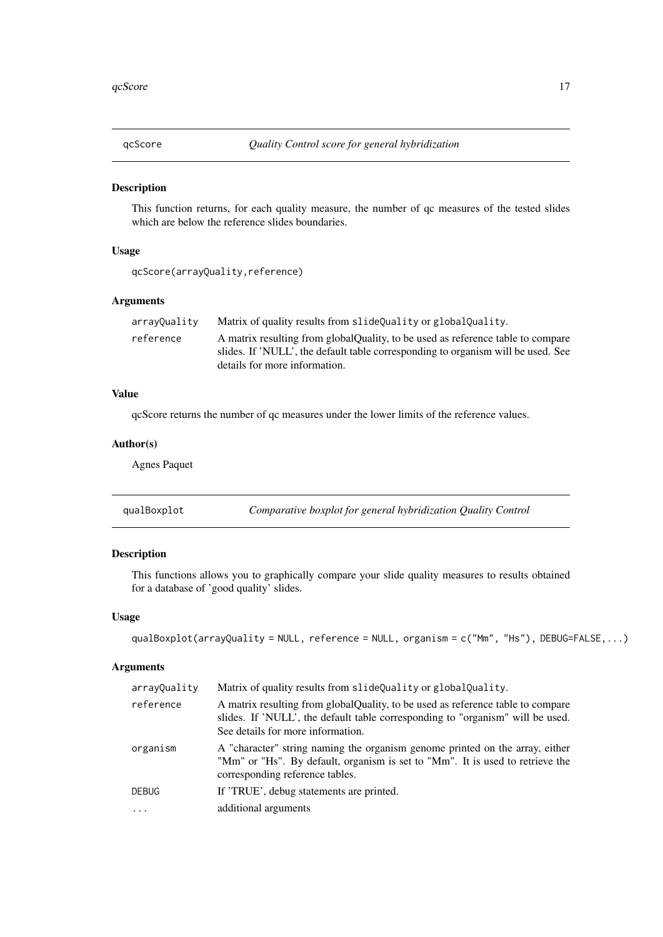<span id="page-16-0"></span>

This function returns, for each quality measure, the number of qc measures of the tested slides which are below the reference slides boundaries.

### Usage

```
qcScore(arrayQuality,reference)
```
### Arguments

| arrayQuality | Matrix of quality results from slideQuality or globalQuality.                    |
|--------------|----------------------------------------------------------------------------------|
| reference    | A matrix resulting from globalQuality, to be used as reference table to compare  |
|              | slides. If 'NULL', the default table corresponding to organism will be used. See |
|              | details for more information.                                                    |

### Value

qcScore returns the number of qc measures under the lower limits of the reference values.

### Author(s)

Agnes Paquet

<span id="page-16-1"></span>

| qualBoxplot | Comparative boxplot for general hybridization Quality Control |  |
|-------------|---------------------------------------------------------------|--|
|-------------|---------------------------------------------------------------|--|

### Description

This functions allows you to graphically compare your slide quality measures to results obtained for a database of 'good quality' slides.

### Usage

```
qualBoxplot(arrayQuality = NULL, reference = NULL, organism = c("Mm", "Hs"), DEBUG=FALSE,...)
```

| arrayQuality | Matrix of quality results from slideQuality or globalQuality.                                                                                                                                           |
|--------------|---------------------------------------------------------------------------------------------------------------------------------------------------------------------------------------------------------|
| reference    | A matrix resulting from global Quality, to be used as reference table to compare<br>slides. If 'NULL', the default table corresponding to "organism" will be used.<br>See details for more information. |
| organism     | A "character" string naming the organism genome printed on the array, either<br>"Mm" or "Hs". By default, organism is set to "Mm". It is used to retrieve the<br>corresponding reference tables.        |
| <b>DEBUG</b> | If 'TRUE', debug statements are printed.                                                                                                                                                                |
| $\ddotsc$    | additional arguments                                                                                                                                                                                    |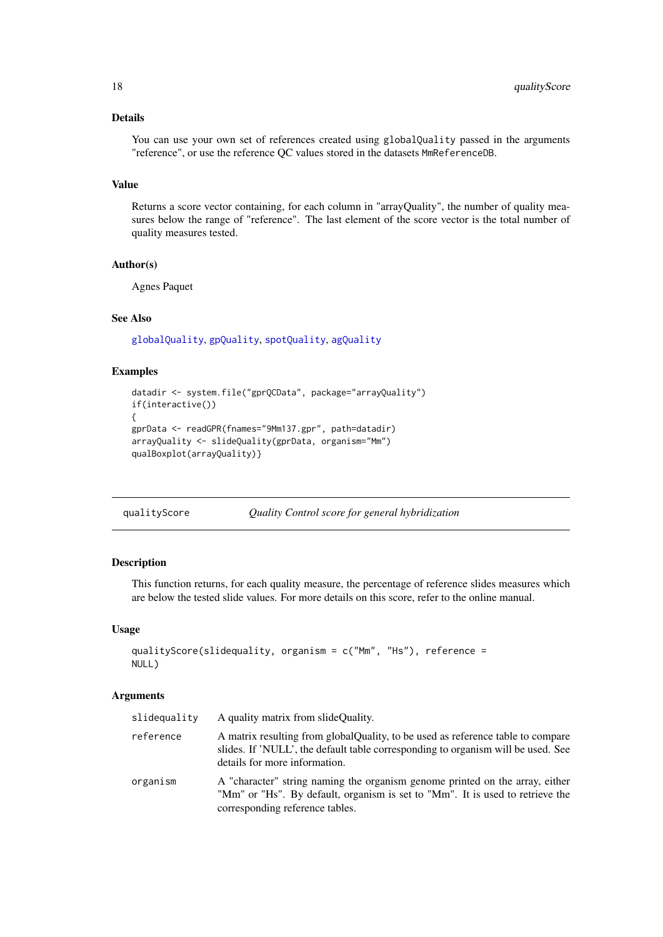### <span id="page-17-0"></span>Details

You can use your own set of references created using globalQuality passed in the arguments "reference", or use the reference QC values stored in the datasets MmReferenceDB.

### Value

Returns a score vector containing, for each column in "arrayQuality", the number of quality measures below the range of "reference". The last element of the score vector is the total number of quality measures tested.

### Author(s)

Agnes Paquet

#### See Also

[globalQuality](#page-2-1), [gpQuality](#page-3-1), [spotQuality](#page-24-1), [agQuality](#page-1-1)

### Examples

```
datadir <- system.file("gprQCData", package="arrayQuality")
if(interactive())
{
gprData <- readGPR(fnames="9Mm137.gpr", path=datadir)
arrayQuality <- slideQuality(gprData, organism="Mm")
qualBoxplot(arrayQuality)}
```
### Description

This function returns, for each quality measure, the percentage of reference slides measures which are below the tested slide values. For more details on this score, refer to the online manual.

### Usage

```
qualityScore(slidequality, organism = c("Mm", "Hs"), reference =
NULL)
```

| slidequality | A quality matrix from slide Quality.                                                                                                                                                                  |
|--------------|-------------------------------------------------------------------------------------------------------------------------------------------------------------------------------------------------------|
| reference    | A matrix resulting from global Quality, to be used as reference table to compare<br>slides. If 'NULL', the default table corresponding to organism will be used. See<br>details for more information. |
| organism     | A "character" string naming the organism genome printed on the array, either<br>"Mm" or "Hs". By default, organism is set to "Mm". It is used to retrieve the<br>corresponding reference tables.      |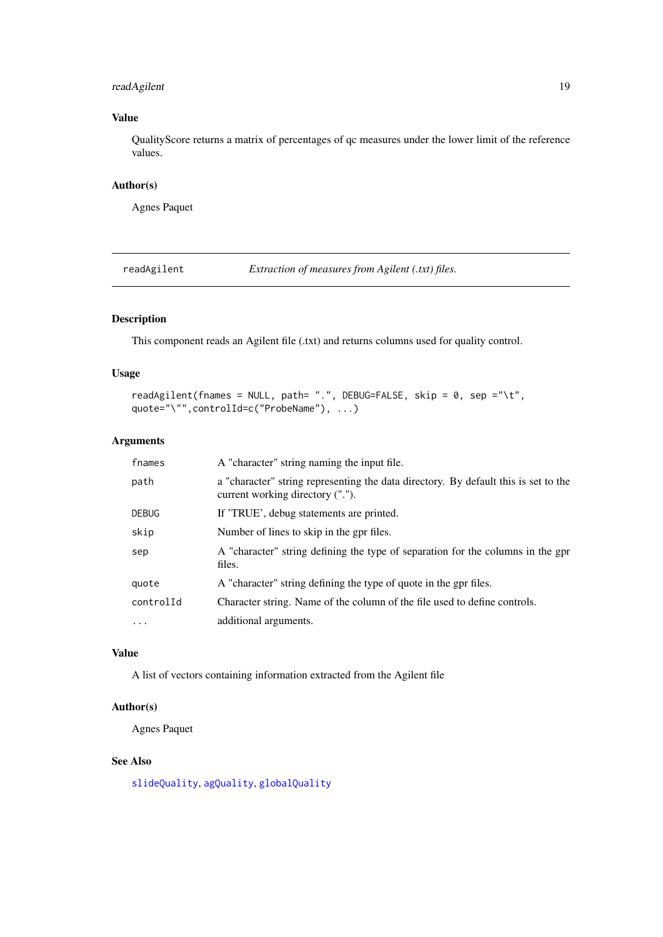### <span id="page-18-0"></span>readAgilent 19

### Value

QualityScore returns a matrix of percentages of qc measures under the lower limit of the reference values.

### Author(s)

Agnes Paquet

<span id="page-18-1"></span>readAgilent *Extraction of measures from Agilent (.txt) files.*

### Description

This component reads an Agilent file (.txt) and returns columns used for quality control.

### Usage

```
readAgilent(fnames = NULL, path= ".", DEBUG=FALSE, skip = 0, sep ="\t",
quote="\"",controlId=c("ProbeName"), ...)
```
### Arguments

| fnames       | A "character" string naming the input file.                                                                             |
|--------------|-------------------------------------------------------------------------------------------------------------------------|
| path         | a "character" string representing the data directory. By default this is set to the<br>current working directory ("."). |
| <b>DEBUG</b> | If 'TRUE', debug statements are printed.                                                                                |
| skip         | Number of lines to skip in the gpr files.                                                                               |
| sep          | A "character" string defining the type of separation for the columns in the gpr<br>files.                               |
| quote        | A "character" string defining the type of quote in the gpr files.                                                       |
| controlId    | Character string. Name of the column of the file used to define controls.                                               |
| $\ddotsc$    | additional arguments.                                                                                                   |

### Value

A list of vectors containing information extracted from the Agilent file

### Author(s)

Agnes Paquet

### See Also

[slideQuality](#page-23-1), [agQuality](#page-1-1), [globalQuality](#page-2-1)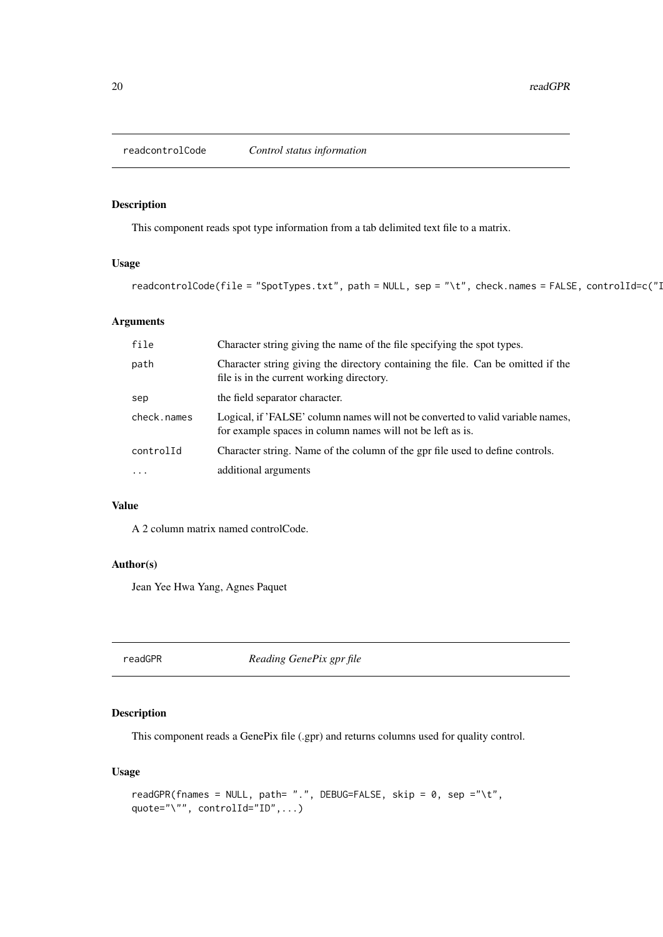<span id="page-19-0"></span>

This component reads spot type information from a tab delimited text file to a matrix.

### Usage

```
readcontrolCode(file = "SpotTypes.txt", path = NULL, sep = "\t", check.names = FALSE, controlId=c("I
```
### Arguments

| file        | Character string giving the name of the file specifying the spot types.                                                                       |
|-------------|-----------------------------------------------------------------------------------------------------------------------------------------------|
| path        | Character string giving the directory containing the file. Can be omitted if the<br>file is in the current working directory.                 |
| sep         | the field separator character.                                                                                                                |
| check.names | Logical, if 'FALSE' column names will not be converted to valid variable names,<br>for example spaces in column names will not be left as is. |
| controlId   | Character string. Name of the column of the gpr file used to define controls.                                                                 |
| $\ddotsc$   | additional arguments                                                                                                                          |

### Value

A 2 column matrix named controlCode.

### Author(s)

Jean Yee Hwa Yang, Agnes Paquet

<span id="page-19-1"></span>readGPR *Reading GenePix gpr file*

### Description

This component reads a GenePix file (.gpr) and returns columns used for quality control.

### Usage

```
readGPR(fnames = NULL, path= ".", DEBUG=FALSE, skip = 0, sep ="\t",
quote="\"", controlId="ID",...)
```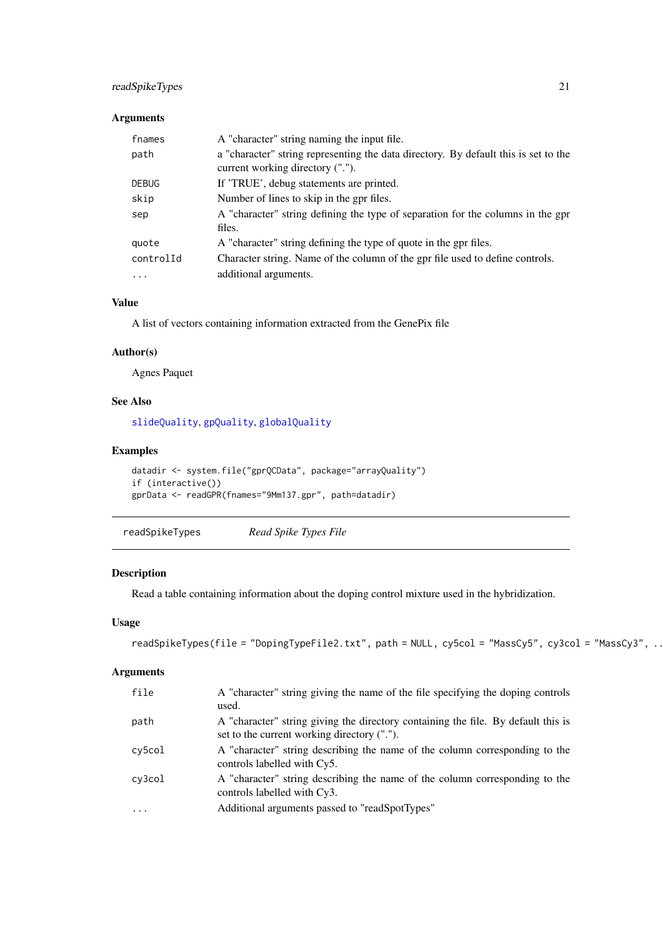### <span id="page-20-0"></span>readSpikeTypes 21

### Arguments

| fnames       | A "character" string naming the input file.                                                                             |
|--------------|-------------------------------------------------------------------------------------------------------------------------|
| path         | a "character" string representing the data directory. By default this is set to the<br>current working directory ("."). |
| <b>DEBUG</b> | If 'TRUE', debug statements are printed.                                                                                |
| skip         | Number of lines to skip in the gpr files.                                                                               |
| sep          | A "character" string defining the type of separation for the columns in the gpr<br>files.                               |
| quote        | A "character" string defining the type of quote in the gpr files.                                                       |
| controlId    | Character string. Name of the column of the gpr file used to define controls.                                           |
| $\cdots$     | additional arguments.                                                                                                   |

### Value

A list of vectors containing information extracted from the GenePix file

#### Author(s)

Agnes Paquet

### See Also

[slideQuality](#page-23-1), [gpQuality](#page-3-1), [globalQuality](#page-2-1)

### Examples

```
datadir <- system.file("gprQCData", package="arrayQuality")
if (interactive())
gprData <- readGPR(fnames="9Mm137.gpr", path=datadir)
```
readSpikeTypes *Read Spike Types File*

### Description

Read a table containing information about the doping control mixture used in the hybridization.

### Usage

```
readSpikeTypes(file = "DopingTypeFile2.txt", path = NULL, cy5col = "MassCy5", cy3col = "MassCy3", ...)
```

| file    | A "character" string giving the name of the file specifying the doping controls<br>used.                                         |
|---------|----------------------------------------------------------------------------------------------------------------------------------|
| path    | A "character" string giving the directory containing the file. By default this is<br>set to the current working directory ("."). |
| cy5col  | A "character" string describing the name of the column corresponding to the<br>controls labelled with Cy5.                       |
| cy3col  | A "character" string describing the name of the column corresponding to the<br>controls labelled with Cy3.                       |
| $\cdot$ | Additional arguments passed to "readSpotTypes"                                                                                   |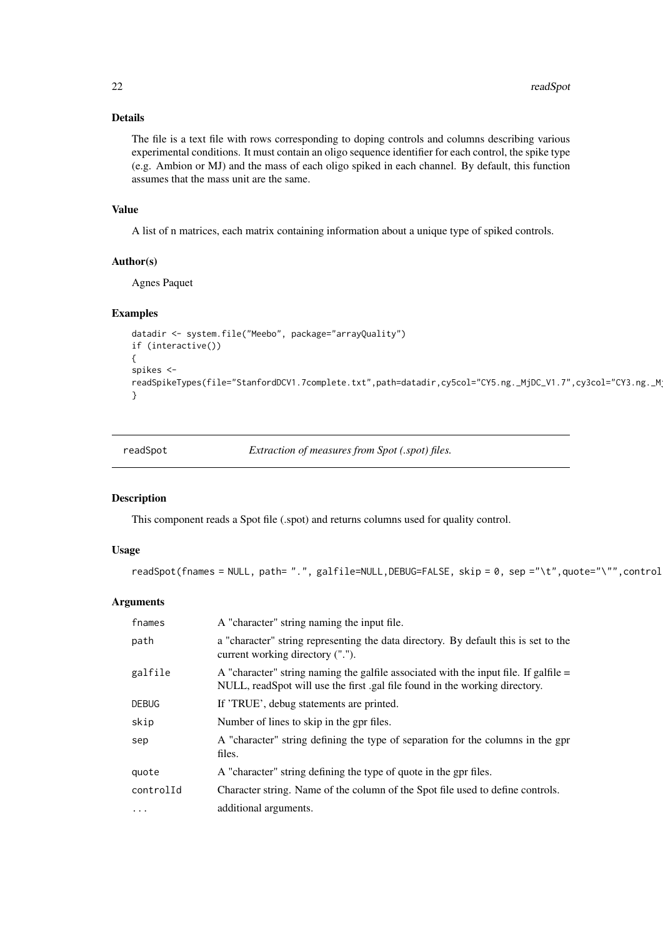### Details

The file is a text file with rows corresponding to doping controls and columns describing various experimental conditions. It must contain an oligo sequence identifier for each control, the spike type (e.g. Ambion or MJ) and the mass of each oligo spiked in each channel. By default, this function assumes that the mass unit are the same.

### Value

A list of n matrices, each matrix containing information about a unique type of spiked controls.

### Author(s)

Agnes Paquet

### Examples

```
datadir <- system.file("Meebo", package="arrayQuality")
if (interactive())
{
spikes <-
readSpikeTypes(file="StanfordDCV1.7complete.txt",path=datadir,cy5col="CY5.ng._MjDC_V1.7",cy3col="CY3.ng._MjDC_V1.7")
}
```
<span id="page-21-1"></span>

readSpot *Extraction of measures from Spot (.spot) files.*

#### Description

This component reads a Spot file (.spot) and returns columns used for quality control.

### Usage

```
readSpot(fnames = NULL, path= ".", galfile=NULL,DEBUG=FALSE, skip = 0, sep ="\t",quote="\"",control
```

| fnames       | A "character" string naming the input file.                                                                                                                           |
|--------------|-----------------------------------------------------------------------------------------------------------------------------------------------------------------------|
| path         | a "character" string representing the data directory. By default this is set to the<br>current working directory (".").                                               |
| galfile      | A "character" string naming the galfile associated with the input file. If galfile $=$<br>NULL, readSpot will use the first .gal file found in the working directory. |
| <b>DEBUG</b> | If 'TRUE', debug statements are printed.                                                                                                                              |
| skip         | Number of lines to skip in the gpr files.                                                                                                                             |
| sep          | A "character" string defining the type of separation for the columns in the gpr<br>files.                                                                             |
| quote        | A "character" string defining the type of quote in the gpr files.                                                                                                     |
| controlId    | Character string. Name of the column of the Spot file used to define controls.                                                                                        |
| $\cdots$     | additional arguments.                                                                                                                                                 |

<span id="page-21-0"></span>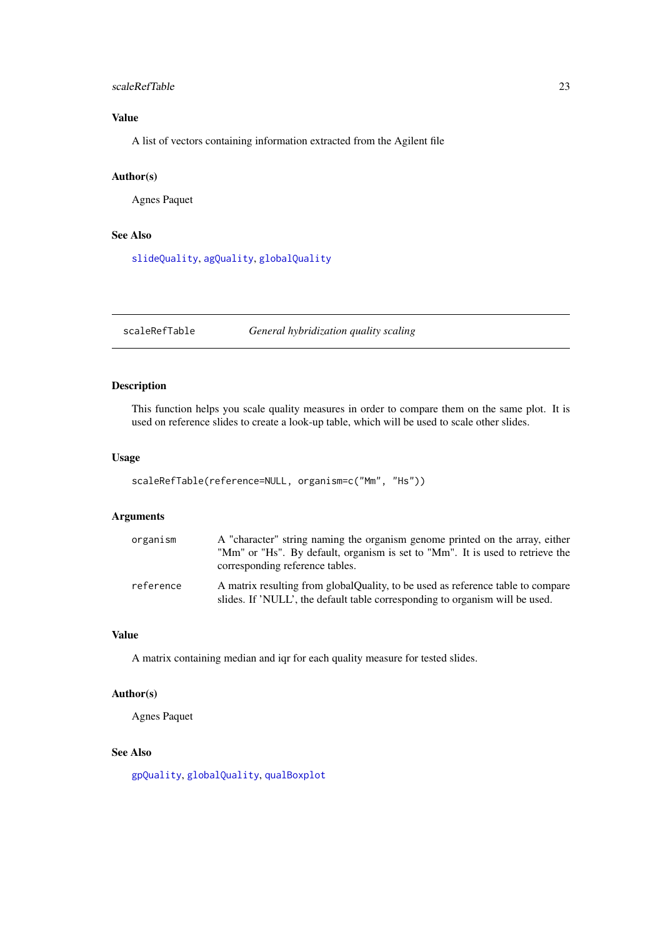#### <span id="page-22-0"></span>scaleRefTable 23

### Value

A list of vectors containing information extracted from the Agilent file

### Author(s)

Agnes Paquet

### See Also

[slideQuality](#page-23-1), [agQuality](#page-1-1), [globalQuality](#page-2-1)

<span id="page-22-1"></span>scaleRefTable *General hybridization quality scaling*

### Description

This function helps you scale quality measures in order to compare them on the same plot. It is used on reference slides to create a look-up table, which will be used to scale other slides.

### Usage

```
scaleRefTable(reference=NULL, organism=c("Mm", "Hs"))
```
### Arguments

| organism  | A "character" string naming the organism genome printed on the array, either<br>"Mm" or "Hs". By default, organism is set to "Mm". It is used to retrieve the<br>corresponding reference tables. |
|-----------|--------------------------------------------------------------------------------------------------------------------------------------------------------------------------------------------------|
| reference | A matrix resulting from global Quality, to be used as reference table to compare<br>slides. If 'NULL', the default table corresponding to organism will be used.                                 |

### Value

A matrix containing median and iqr for each quality measure for tested slides.

### Author(s)

Agnes Paquet

### See Also

[gpQuality](#page-3-1), [globalQuality](#page-2-1), [qualBoxplot](#page-16-1)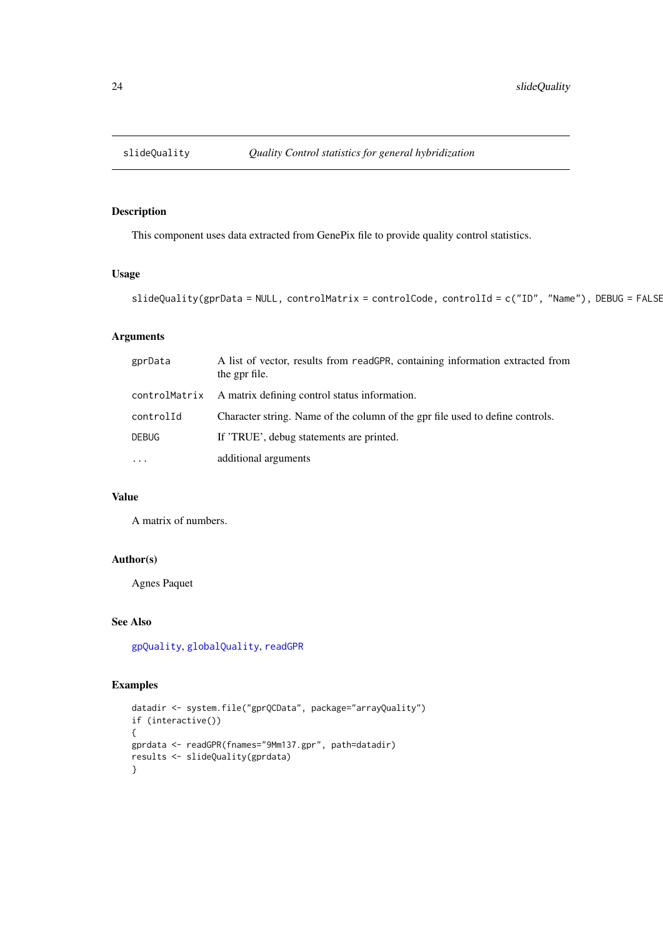<span id="page-23-1"></span><span id="page-23-0"></span>

This component uses data extracted from GenePix file to provide quality control statistics.

### Usage

```
slideQuality(gprData = NULL, controlMatrix = controlCode, controlId = c("ID", "Name"), DEBUG = FALSE
```
### Arguments

| gprData       | A list of vector, results from readGPR, containing information extracted from<br>the gpr file. |
|---------------|------------------------------------------------------------------------------------------------|
| controlMatrix | A matrix defining control status information.                                                  |
| controlId     | Character string. Name of the column of the gpr file used to define controls.                  |
| <b>DEBUG</b>  | If 'TRUE', debug statements are printed.                                                       |
| $\ddots$ .    | additional arguments                                                                           |

### Value

A matrix of numbers.

### Author(s)

Agnes Paquet

### See Also

[gpQuality](#page-3-1), [globalQuality](#page-2-1), [readGPR](#page-19-1)

### Examples

```
datadir <- system.file("gprQCData", package="arrayQuality")
if (interactive())
{
gprdata <- readGPR(fnames="9Mm137.gpr", path=datadir)
results <- slideQuality(gprdata)
}
```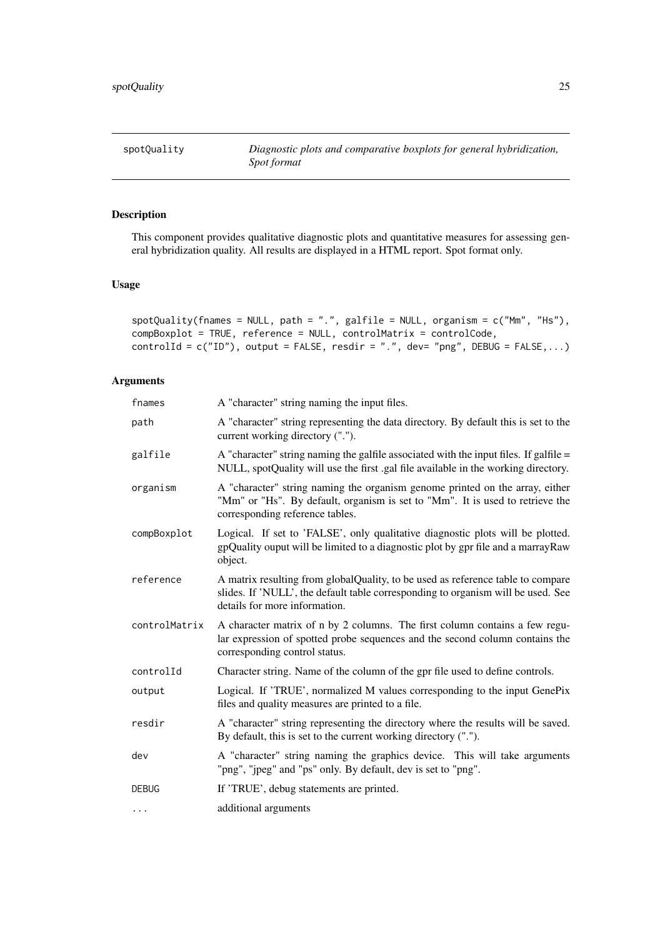<span id="page-24-1"></span><span id="page-24-0"></span>

This component provides qualitative diagnostic plots and quantitative measures for assessing general hybridization quality. All results are displayed in a HTML report. Spot format only.

### Usage

```
spotQuality(fnames = NULL, path = ".", galfile = NULL, organism = c("Mm", "Hs"),
compBoxplot = TRUE, reference = NULL, controlMatrix = controlCode,
controlId = c("ID"), output = FALSE, resdir = ".", dev= "png", DEBUG = FALSE,...)
```

| fnames        | A "character" string naming the input files.                                                                                                                                                         |
|---------------|------------------------------------------------------------------------------------------------------------------------------------------------------------------------------------------------------|
| path          | A "character" string representing the data directory. By default this is set to the<br>current working directory (".").                                                                              |
| galfile       | A "character" string naming the galfile associated with the input files. If galfile =<br>NULL, spotQuality will use the first .gal file available in the working directory.                          |
| organism      | A "character" string naming the organism genome printed on the array, either<br>"Mm" or "Hs". By default, organism is set to "Mm". It is used to retrieve the<br>corresponding reference tables.     |
| compBoxplot   | Logical. If set to 'FALSE', only qualitative diagnostic plots will be plotted.<br>gpQuality ouput will be limited to a diagnostic plot by gpr file and a marrayRaw<br>object.                        |
| reference     | A matrix resulting from globalQuality, to be used as reference table to compare<br>slides. If 'NULL', the default table corresponding to organism will be used. See<br>details for more information. |
| controlMatrix | A character matrix of n by 2 columns. The first column contains a few regu-<br>lar expression of spotted probe sequences and the second column contains the<br>corresponding control status.         |
| controlId     | Character string. Name of the column of the gpr file used to define controls.                                                                                                                        |
| output        | Logical. If 'TRUE', normalized M values corresponding to the input GenePix<br>files and quality measures are printed to a file.                                                                      |
| resdir        | A "character" string representing the directory where the results will be saved.<br>By default, this is set to the current working directory (".").                                                  |
| dev           | A "character" string naming the graphics device. This will take arguments<br>"png", "jpeg" and "ps" only. By default, dev is set to "png".                                                           |
| <b>DEBUG</b>  | If 'TRUE', debug statements are printed.                                                                                                                                                             |
| $\cdots$      | additional arguments                                                                                                                                                                                 |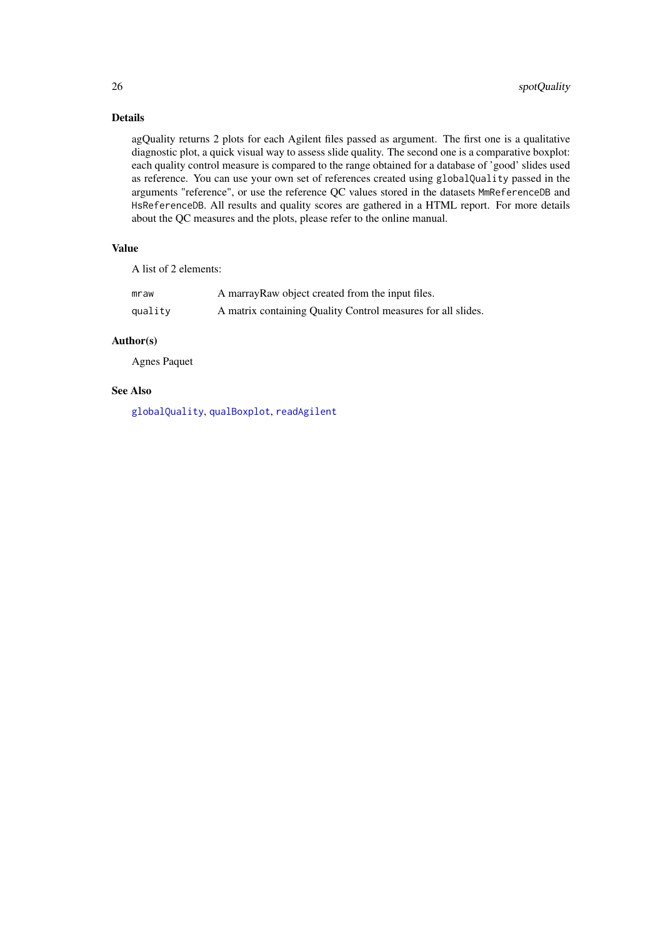### Details

agQuality returns 2 plots for each Agilent files passed as argument. The first one is a qualitative diagnostic plot, a quick visual way to assess slide quality. The second one is a comparative boxplot: each quality control measure is compared to the range obtained for a database of 'good' slides used as reference. You can use your own set of references created using globalQuality passed in the arguments "reference", or use the reference QC values stored in the datasets MmReferenceDB and HsReferenceDB. All results and quality scores are gathered in a HTML report. For more details about the QC measures and the plots, please refer to the online manual.

### Value

A list of 2 elements:

| mraw    | A marray Raw object created from the input files.            |
|---------|--------------------------------------------------------------|
| quality | A matrix containing Quality Control measures for all slides. |

### Author(s)

Agnes Paquet

### See Also

[globalQuality](#page-2-1), [qualBoxplot](#page-16-1), [readAgilent](#page-18-1)

<span id="page-25-0"></span>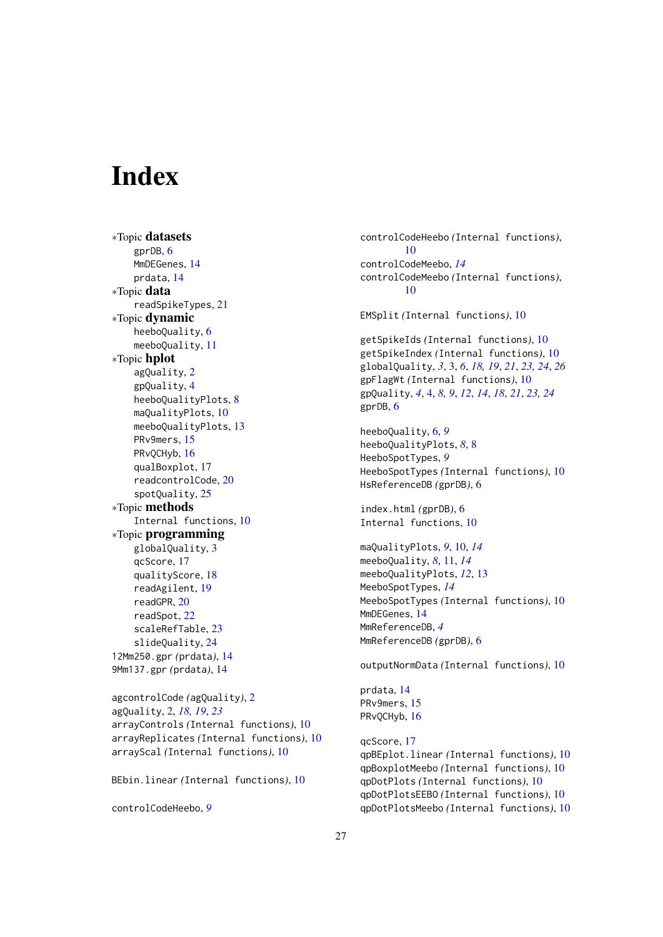# <span id="page-26-0"></span>Index

∗Topic datasets gprDB, [6](#page-5-0) MmDEGenes, [14](#page-13-0) prdata, [14](#page-13-0) ∗Topic data readSpikeTypes, [21](#page-20-0) ∗Topic dynamic heeboQuality, [6](#page-5-0) meeboQuality, [11](#page-10-0) ∗Topic hplot agQuality, [2](#page-1-0) gpQuality, [4](#page-3-0) heeboQualityPlots, [8](#page-7-0) maQualityPlots, [10](#page-9-0) meeboQualityPlots, [13](#page-12-0) PRv9mers, [15](#page-14-0) PRvQCHyb, [16](#page-15-0) qualBoxplot, [17](#page-16-0) readcontrolCode, [20](#page-19-0) spotQuality, [25](#page-24-0) ∗Topic methods Internal functions, [10](#page-9-0) ∗Topic programming globalQuality, [3](#page-2-0) qcScore, [17](#page-16-0) qualityScore, [18](#page-17-0) readAgilent, [19](#page-18-0) readGPR, [20](#page-19-0) readSpot, [22](#page-21-0) scaleRefTable, [23](#page-22-0) slideQuality, [24](#page-23-0) 12Mm250.gpr *(*prdata*)*, [14](#page-13-0) 9Mm137.gpr *(*prdata*)*, [14](#page-13-0)

agcontrolCode *(*agQuality*)*, [2](#page-1-0) agQuality, [2,](#page-1-0) *[18,](#page-17-0) [19](#page-18-0)*, *[23](#page-22-0)* arrayControls *(*Internal functions*)*, [10](#page-9-0) arrayReplicates *(*Internal functions*)*, [10](#page-9-0) arrayScal *(*Internal functions*)*, [10](#page-9-0)

BEbin.linear *(*Internal functions*)*, [10](#page-9-0)

controlCodeHeebo, *[9](#page-8-0)*

controlCodeHeebo *(*Internal functions*)*, [10](#page-9-0) controlCodeMeebo, *[14](#page-13-0)* controlCodeMeebo *(*Internal functions*)*,  $1<sub>0</sub>$ EMSplit *(*Internal functions*)*, [10](#page-9-0) getSpikeIds *(*Internal functions*)*, [10](#page-9-0) getSpikeIndex *(*Internal functions*)*, [10](#page-9-0) globalQuality, *[3](#page-2-0)*, [3,](#page-2-0) *[6](#page-5-0)*, *[18,](#page-17-0) [19](#page-18-0)*, *[21](#page-20-0)*, *[23,](#page-22-0) [24](#page-23-0)*, *[26](#page-25-0)* gpFlagWt *(*Internal functions*)*, [10](#page-9-0) gpQuality, *[4](#page-3-0)*, [4,](#page-3-0) *[8,](#page-7-0) [9](#page-8-0)*, *[12](#page-11-0)*, *[14](#page-13-0)*, *[18](#page-17-0)*, *[21](#page-20-0)*, *[23,](#page-22-0) [24](#page-23-0)* gprDB, [6](#page-5-0) heeboQuality, [6,](#page-5-0) *[9](#page-8-0)*

heeboQualityPlots, *[8](#page-7-0)*, [8](#page-7-0) HeeboSpotTypes, *[9](#page-8-0)* HeeboSpotTypes *(*Internal functions*)*, [10](#page-9-0) HsReferenceDB *(*gprDB*)*, [6](#page-5-0)

index.html *(*gprDB*)*, [6](#page-5-0) Internal functions, [10](#page-9-0)

maQualityPlots, *[9](#page-8-0)*, [10,](#page-9-0) *[14](#page-13-0)* meeboQuality, *[8](#page-7-0)*, [11,](#page-10-0) *[14](#page-13-0)* meeboQualityPlots, *[12](#page-11-0)*, [13](#page-12-0) MeeboSpotTypes, *[14](#page-13-0)* MeeboSpotTypes *(*Internal functions*)*, [10](#page-9-0) MmDEGenes, [14](#page-13-0) MmReferenceDB, *[4](#page-3-0)* MmReferenceDB *(*gprDB*)*, [6](#page-5-0)

outputNormData *(*Internal functions*)*, [10](#page-9-0)

prdata, [14](#page-13-0) PRv9mers, [15](#page-14-0) PRvQCHyb, [16](#page-15-0)

qcScore, [17](#page-16-0) qpBEplot.linear *(*Internal functions*)*, [10](#page-9-0) qpBoxplotMeebo *(*Internal functions*)*, [10](#page-9-0) qpDotPlots *(*Internal functions*)*, [10](#page-9-0) qpDotPlotsEEBO *(*Internal functions*)*, [10](#page-9-0) qpDotPlotsMeebo *(*Internal functions*)*, [10](#page-9-0)